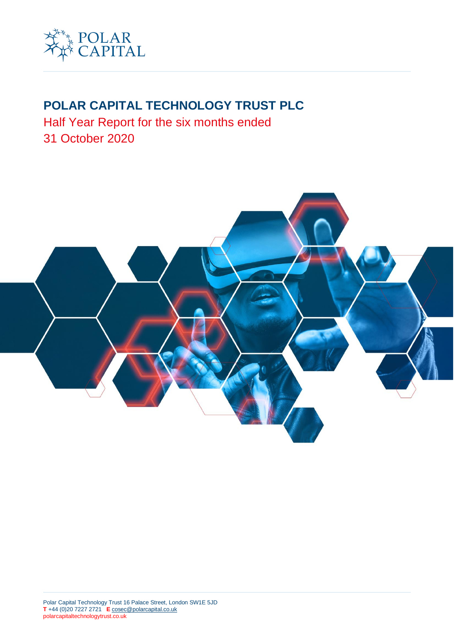

# **POLAR CAPITAL TECHNOLOGY TRUST PLC**

Half Year Report for the six months ended 31 October 2020

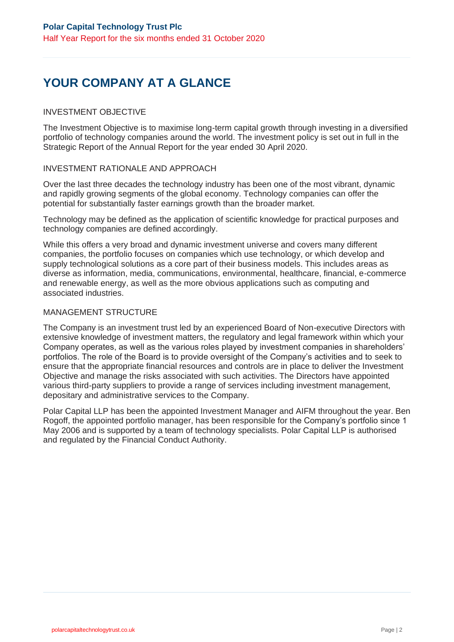# YOUR COMPANY AT A GLANCE

## INVESTMENT OBJECTIVE

The Investment Objective is to maximise long-term capital growth through investing in a diversified portfolio of technology companies around the world. The investment policy is set out in full in the Strategic Report of the Annual Report for the year ended 30 April 2020.

## INVESTMENT RATIONALE AND APPROACH

Over the last three decades the technology industry has been one of the most vibrant, dynamic and rapidly growing segments of the global economy. Technology companies can offer the potential for substantially faster earnings growth than the broader market.

Technology may be defined as the application of scientific knowledge for practical purposes and technology companies are defined accordingly.

While this offers a very broad and dynamic investment universe and covers many different companies, the portfolio focuses on companies which use technology, or which develop and supply technological solutions as a core part of their business models. This includes areas as diverse as information, media, communications, environmental, healthcare, financial, e-commerce and renewable energy, as well as the more obvious applications such as computing and associated industries.

## MANAGEMENT STRUCTURE

The Company is an investment trust led by an experienced Board of Non-executive Directors with extensive knowledge of investment matters, the regulatory and legal framework within which your Company operates, as well as the various roles played by investment companies in shareholders' portfolios. The role of the Board is to provide oversight of the Company's activities and to seek to ensure that the appropriate financial resources and controls are in place to deliver the Investment Objective and manage the risks associated with such activities. The Directors have appointed various third-party suppliers to provide a range of services including investment management, depositary and administrative services to the Company.

Polar Capital LLP has been the appointed Investment Manager and AIFM throughout the year. Ben Rogoff, the appointed portfolio manager, has been responsible for the Company's portfolio since 1 May 2006 and is supported by a team of technology specialists. Polar Capital LLP is authorised and regulated by the Financial Conduct Authority.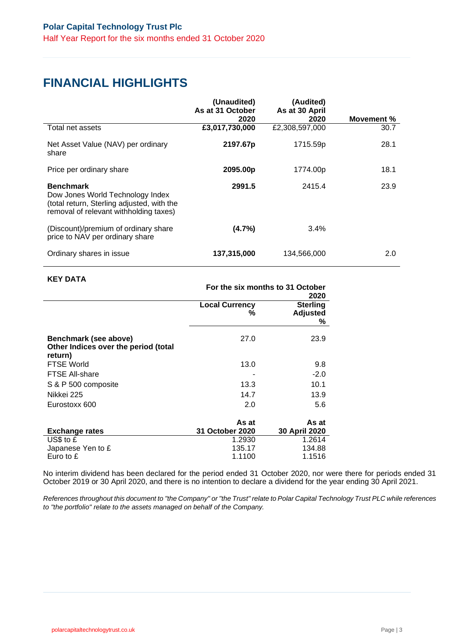## **FINANCIAL HIGHLIGHTS**

|                                                                                                                                              | (Unaudited)<br>As at 31 October | (Audited)<br>As at 30 April |            |
|----------------------------------------------------------------------------------------------------------------------------------------------|---------------------------------|-----------------------------|------------|
|                                                                                                                                              | 2020                            | 2020                        | Movement % |
| Total net assets                                                                                                                             | £3,017,730,000                  | £2,308,597,000              | 30.7       |
| Net Asset Value (NAV) per ordinary<br>share                                                                                                  | 2197.67p                        | 1715.59p                    | 28.1       |
| Price per ordinary share                                                                                                                     | 2095.00p                        | 1774.00p                    | 18.1       |
| <b>Benchmark</b><br>Dow Jones World Technology Index<br>(total return, Sterling adjusted, with the<br>removal of relevant withholding taxes) | 2991.5                          | 2415.4                      | 23.9       |
| (Discount)/premium of ordinary share<br>price to NAV per ordinary share                                                                      | (4.7%)                          | 3.4%                        |            |
| Ordinary shares in issue                                                                                                                     | 137,315,000                     | 134,566,000                 | 2.0        |

### **KEY DATA**

|                            | For the six months to 31 October<br>2020 |
|----------------------------|------------------------------------------|
| <b>Local Currency</b><br>℅ | <b>Sterling</b><br><b>Adjusted</b><br>%  |
| 27.0                       | 23.9                                     |
| 13.0                       | 9.8                                      |
|                            | $-2.0$                                   |
| 13.3                       | 10.1                                     |
| 14.7                       | 13.9                                     |
| 2.0                        | 5.6                                      |
|                            | As at                                    |
| 31 October 2020            | 30 April 2020                            |
| 1.2930<br>135.17<br>1.1100 | 1.2614<br>134.88<br>1.1516               |
|                            | As at                                    |

No interim dividend has been declared for the period ended 31 October 2020, nor were there for periods ended 31 October 2019 or 30 April 2020, and there is no intention to declare a dividend for the year ending 30 April 2021.

*References throughout this document to "the Company" or "the Trust" relate to Polar Capital Technology Trust PLC while references to "the portfolio" relate to the assets managed on behalf of the Company.*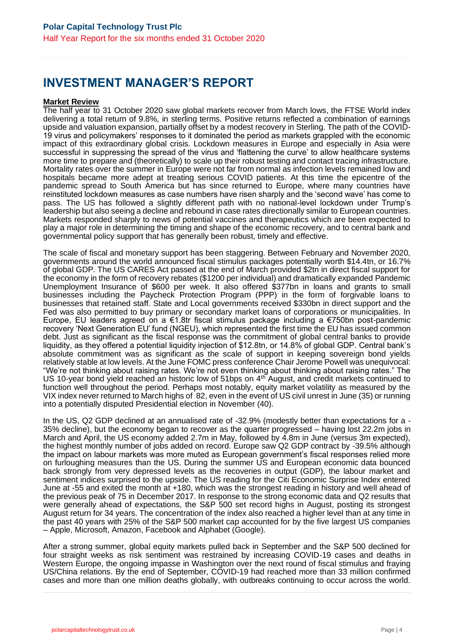## **INVESTMENT MANAGER'S REPORT**

#### **Market Review**

The half year to 31 October 2020 saw global markets recover from March lows, the FTSE World index delivering a total return of 9.8%, in sterling terms. Positive returns reflected a combination of earnings upside and valuation expansion, partially offset by a modest recovery in Sterling. The path of the COVID-19 virus and policymakers' responses to it dominated the period as markets grappled with the economic impact of this extraordinary global crisis. Lockdown measures in Europe and especially in Asia were successful in suppressing the spread of the virus and 'flattening the curve' to allow healthcare systems more time to prepare and (theoretically) to scale up their robust testing and contact tracing infrastructure. Mortality rates over the summer in Europe were not far from normal as infection levels remained low and hospitals became more adept at treating serious COVID patients. At this time the epicentre of the pandemic spread to South America but has since returned to Europe, where many countries have reinstituted lockdown measures as case numbers have risen sharply and the 'second wave' has come to pass. The US has followed a slightly different path with no national-level lockdown under Trump's leadership but also seeing a decline and rebound in case rates directionally similar to European countries. Markets responded sharply to news of potential vaccines and therapeutics which are been expected to play a major role in determining the timing and shape of the economic recovery, and to central bank and governmental policy support that has generally been robust, timely and effective.

The scale of fiscal and monetary support has been staggering. Between February and November 2020, governments around the world announced fiscal stimulus packages potentially worth \$14.4tn, or 16.7% of global GDP. The US CARES Act passed at the end of March provided \$2tn in direct fiscal support for the economy in the form of recovery rebates (\$1200 per individual) and dramatically expanded Pandemic Unemployment Insurance of \$600 per week. It also offered \$377bn in loans and grants to small businesses including the Paycheck Protection Program (PPP) in the form of forgivable loans to businesses that retained staff. State and Local governments received \$330bn in direct support and the Fed was also permitted to buy primary or secondary market loans of corporations or municipalities. In Europe, EU leaders agreed on a €1.8tr fiscal stimulus package including a €750bn post-pandemic recovery 'Next Generation EU' fund (NGEU), which represented the first time the EU has issued common debt. Just as significant as the fiscal response was the commitment of global central banks to provide liquidity, as they offered a potential liquidity injection of \$12.8tn, or 14.8% of global GDP. Central bank's absolute commitment was as significant as the scale of support in keeping sovereign bond yields relatively stable at low levels. At the June FOMC press conference Chair Jerome Powell was unequivocal: "We're not thinking about raising rates. We're not even thinking about thinking about raising rates." The US 10-year bond yield reached an historic low of 51bps on 4<sup>th</sup> August, and credit markets continued to function well throughout the period. Perhaps most notably, equity market volatility as measured by the VIX index never returned to March highs of 82, even in the event of US civil unrest in June (35) or running into a potentially disputed Presidential election in November (40).

In the US, Q2 GDP declined at an annualised rate of -32.9% (modestly better than expectations for a - 35% decline), but the economy began to recover as the quarter progressed – having lost 22.2m jobs in March and April, the US economy added 2.7m in May, followed by 4.8m in June (versus 3m expected), the highest monthly number of jobs added on record. Europe saw Q2 GDP contract by -39.5% although the impact on labour markets was more muted as European government's fiscal responses relied more on furloughing measures than the US. During the summer US and European economic data bounced back strongly from very depressed levels as the recoveries in output (GDP), the labour market and sentiment indices surprised to the upside. The US reading for the Citi Economic Surprise Index entered June at -55 and exited the month at +180, which was the strongest reading in history and well ahead of the previous peak of 75 in December 2017. In response to the strong economic data and Q2 results that were generally ahead of expectations, the S&P 500 set record highs in August, posting its strongest August return for 34 years. The concentration of the index also reached a higher level than at any time in the past 40 years with 25% of the S&P 500 market cap accounted for by the five largest US companies – Apple, Microsoft, Amazon, Facebook and Alphabet (Google).

After a strong summer, global equity markets pulled back in September and the S&P 500 declined for four straight weeks as risk sentiment was restrained by increasing COVID-19 cases and deaths in Western Europe, the ongoing impasse in Washington over the next round of fiscal stimulus and fraying US/China relations. By the end of September, COVID-19 had reached more than 33 million confirmed cases and more than one million deaths globally, with outbreaks continuing to occur across the world.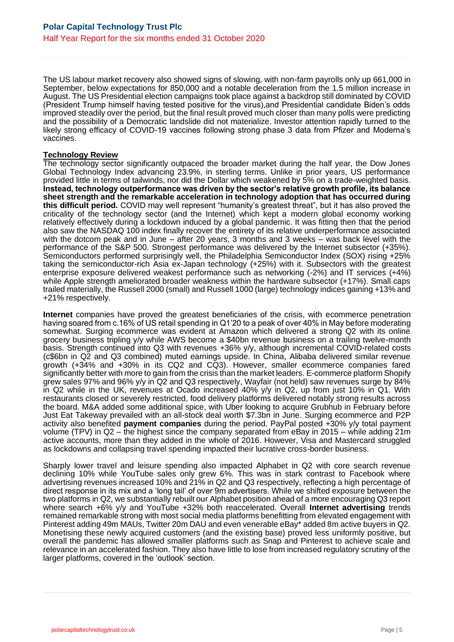The US labour market recovery also showed signs of slowing, with non-farm payrolls only up 661,000 in September, below expectations for 850,000 and a notable deceleration from the 1.5 million increase in August. The US Presidential election campaigns took place against a backdrop still dominated by COVID (President Trump himself having tested positive for the virus),and Presidential candidate Biden's odds improved steadily over the period, but the final result proved much closer than many polls were predicting and the possibility of a Democratic landslide did not materialize. Investor attention rapidly turned to the likely strong efficacy of COVID-19 vaccines following strong phase 3 data from Pfizer and Moderna's vaccines.

### **Technology Review**

The technology sector significantly outpaced the broader market during the half year, the Dow Jones Global Technology Index advancing 23.9%, in sterling terms. Unlike in prior years, US performance provided little in terms of tailwinds, nor did the Dollar which weakened by 5% on a trade-weighted basis. **Instead, technology outperformance was driven by the sector's relative growth profile, its balance sheet strength and the remarkable acceleration in technology adoption that has occurred during this difficult period.** COVID may well represent "humanity's greatest threat", but it has also proved the criticality of the technology sector (and the Internet) which kept a modern global economy working relatively effectively during a lockdown induced by a global pandemic. It was fitting then that the period also saw the NASDAQ 100 index finally recover the entirety of its relative underperformance associated with the dotcom peak and in June – after 20 years, 3 months and 3 weeks – was back level with the performance of the S&P 500. Strongest performance was delivered by the Internet subsector (+35%). Semiconductors performed surprisingly well, the Philadelphia Semiconductor Index (SOX) rising +25% taking the semiconductor-rich Asia ex-Japan technology (+25%) with it. Subsectors with the greatest enterprise exposure delivered weakest performance such as networking (-2%) and IT services (+4%) while Apple strength ameliorated broader weakness within the hardware subsector (+17%). Small caps trailed materially, the Russell 2000 (small) and Russell 1000 (large) technology indices gaining +13% and +21% respectively.

**Internet** companies have proved the greatest beneficiaries of the crisis, with ecommerce penetration having soared from c.16% of US retail spending in Q1'20 to a peak of over 40% in May before moderating somewhat. Surging ecommerce was evident at Amazon which delivered a strong Q2 with its online grocery business tripling y/y while AWS become a \$40bn revenue business on a trailing twelve-month basis. Strength continued into Q3 with revenues +36% y/y, although incremental COVID-related costs (c\$6bn in Q2 and Q3 combined) muted earnings upside. In China, Alibaba delivered similar revenue growth (+34% and +30% in its CQ2 and CQ3). However, smaller ecommerce companies fared significantly better with more to gain from the crisis than the market leaders. E-commerce platform Shopify grew sales 97% and 96% y/y in Q2 and Q3 respectively, Wayfair (not held) saw revenues surge by 84% in Q2 while in the UK, revenues at Ocado increased 40% y/y in Q2, up from just 10% in Q1. With restaurants closed or severely restricted, food delivery platforms delivered notably strong results across the board. M&A added some additional spice, with Uber looking to acquire Grubhub in February before Just Eat Takeway prevailed with an all-stock deal worth \$7.3bn in June. Surging ecommerce and P2P activity also benefited **payment companies** during the period. PayPal posted +30% y/y total payment volume (TPV) in Q2 – the highest since the company separated from eBay in 2015 – while adding 21m active accounts, more than they added in the whole of 2016. However, Visa and Mastercard struggled as lockdowns and collapsing travel spending impacted their lucrative cross-border business.

Sharply lower travel and leisure spending also impacted Alphabet in Q2 with core search revenue declining 10% while YouTube sales only grew 6%. This was in stark contrast to Facebook where advertising revenues increased 10% and 21% in Q2 and Q3 respectively, reflecting a high percentage of direct response in its mix and a 'long tail' of over 9m advertisers. While we shifted exposure between the two platforms in Q2, we substantially rebuilt our Alphabet position ahead of a more encouraging Q3 report where search +6% y/y and YouTube +32% both reaccelerated. Overall **Internet advertising** trends remained remarkable strong with most social media platforms benefitting from elevated engagement with Pinterest adding 49m MAUs, Twitter 20m DAU and even venerable eBay\* added 8m active buyers in Q2. Monetising these newly acquired customers (and the existing base) proved less uniformly positive, but overall the pandemic has allowed smaller platforms such as Snap and Pinterest to achieve scale and relevance in an accelerated fashion. They also have little to lose from increased regulatory scrutiny of the larger platforms, covered in the 'outlook' section.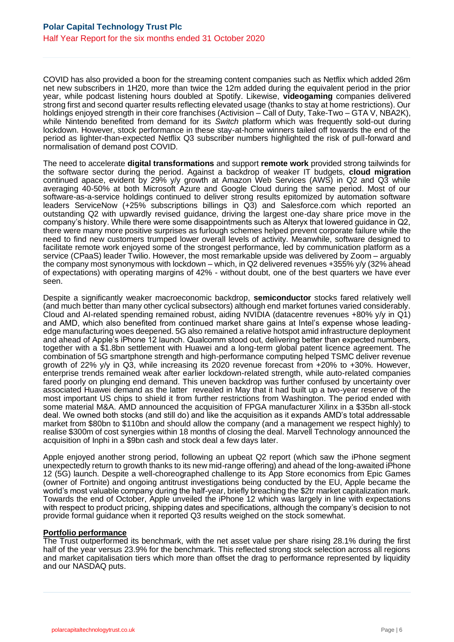COVID has also provided a boon for the streaming content companies such as Netflix which added 26m net new subscribers in 1H20, more than twice the 12m added during the equivalent period in the prior year, while podcast listening hours doubled at Spotify. Likewise, **videogaming** companies delivered strong first and second quarter results reflecting elevated usage (thanks to stay at home restrictions). Our holdings enjoyed strength in their core franchises (Activision – Call of Duty, Take-Two – GTA V, NBA2K), while Nintendo benefited from demand for its *Switch* platform which was frequently sold-out during lockdown. However, stock performance in these stay-at-home winners tailed off towards the end of the period as lighter-than-expected Netflix Q3 subscriber numbers highlighted the risk of pull-forward and normalisation of demand post COVID.

The need to accelerate **digital transformations** and support **remote work** provided strong tailwinds for the software sector during the period. Against a backdrop of weaker IT budgets, **cloud migration** continued apace, evident by 29% y/y growth at Amazon Web Services (AWS) in Q2 and Q3 while averaging 40-50% at both Microsoft Azure and Google Cloud during the same period. Most of our software-as-a-service holdings continued to deliver strong results epitomized by automation software leaders ServiceNow (+25% subscriptions billings in Q3) and Salesforce.com which reported an outstanding Q2 with upwardly revised guidance, driving the largest one-day share price move in the company's history. While there were some disappointments such as Alteryx that lowered guidance in Q2, there were many more positive surprises as furlough schemes helped prevent corporate failure while the need to find new customers trumped lower overall levels of activity. Meanwhile, software designed to facilitate remote work enjoyed some of the strongest performance, led by communication platform as a service (CPaaS) leader Twilio. However, the most remarkable upside was delivered by Zoom – arguably the company most synonymous with lockdown – which, in Q2 delivered revenues +355% y/y (32% ahead of expectations) with operating margins of 42% - without doubt, one of the best quarters we have ever seen.

Despite a significantly weaker macroeconomic backdrop, **semiconductor** stocks fared relatively well (and much better than many other cyclical subsectors) although end market fortunes varied considerably. Cloud and AI-related spending remained robust, aiding NVIDIA (datacentre revenues +80% y/y in Q1) and AMD, which also benefited from continued market share gains at Intel's expense whose leadingedge manufacturing woes deepened. 5G also remained a relative hotspot amid infrastructure deployment and ahead of Apple's iPhone 12 launch. Qualcomm stood out, delivering better than expected numbers, together with a \$1.8bn settlement with Huawei and a long-term global patent licence agreement. The combination of 5G smartphone strength and high-performance computing helped TSMC deliver revenue growth of 22% y/y in Q3, while increasing its 2020 revenue forecast from +20% to +30%. However, enterprise trends remained weak after earlier lockdown-related strength, while auto-related companies fared poorly on plunging end demand. This uneven backdrop was further confused by uncertainty over associated Huawei demand as the latter revealed in May that it had built up a two-year reserve of the most important US chips to shield it from further restrictions from Washington. The period ended with some material M&A. AMD announced the acquisition of FPGA manufacturer Xilinx in a \$35bn all-stock deal. We owned both stocks (and still do) and like the acquisition as it expands AMD's total addressable market from \$80bn to \$110bn and should allow the company (and a management we respect highly) to realise \$300m of cost synergies within 18 months of closing the deal. Marvell Technology announced the acquisition of Inphi in a \$9bn cash and stock deal a few days later.

Apple enjoyed another strong period, following an upbeat Q2 report (which saw the iPhone segment unexpectedly return to growth thanks to its new mid-range offering) and ahead of the long-awaited iPhone 12 (5G) launch. Despite a well-choreographed challenge to its App Store economics from Epic Games (owner of Fortnite) and ongoing antitrust investigations being conducted by the EU, Apple became the world's most valuable company during the half-year, briefly breaching the \$2tr market capitalization mark. Towards the end of October, Apple unveiled the iPhone 12 which was largely in line with expectations with respect to product pricing, shipping dates and specifications, although the company's decision to not provide formal guidance when it reported Q3 results weighed on the stock somewhat.

#### **Portfolio performance**

The Trust outperformed its benchmark, with the net asset value per share rising 28.1% during the first half of the year versus 23.9% for the benchmark. This reflected strong stock selection across all regions and market capitalisation tiers which more than offset the drag to performance represented by liquidity and our NASDAQ puts.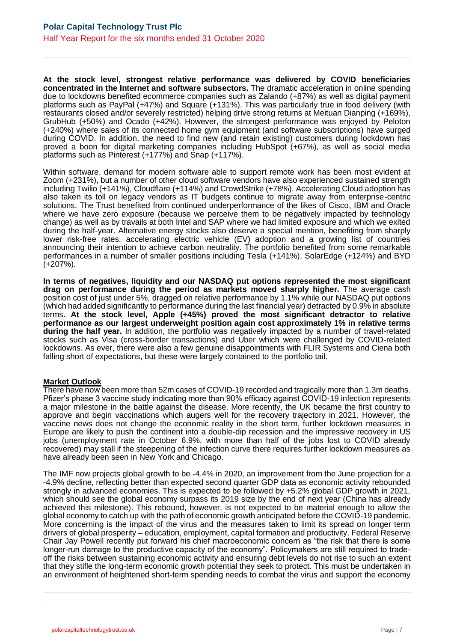**At the stock level, strongest relative performance was delivered by COVID beneficiaries concentrated in the Internet and software subsectors.** The dramatic acceleration in online spending due to lockdowns benefited ecommerce companies such as Zalando (+87%) as well as digital payment platforms such as PayPal (+47%) and Square (+131%). This was particularly true in food delivery (with restaurants closed and/or severely restricted) helping drive strong returns at Meituan Dianping (+169%), GrubHub (+50%) and Ocado (+42%). However, the strongest performance was enjoyed by Peloton (+240%) where sales of its connected home gym equipment (and software subscriptions) have surged during COVID. In addition, the need to find new (and retain existing) customers during lockdown has proved a boon for digital marketing companies including HubSpot (+67%), as well as social media platforms such as Pinterest (+177%) and Snap (+117%).

Within software, demand for modern software able to support remote work has been most evident at Zoom (+231%), but a number of other cloud software vendors have also experienced sustained strength including Twilio (+141%), Cloudflare (+114%) and CrowdStrike (+78%). Accelerating Cloud adoption has also taken its toll on legacy vendors as IT budgets continue to migrate away from enterprise-centric solutions. The Trust benefited from continued underperformance of the likes of Cisco, IBM and Oracle where we have zero exposure (because we perceive them to be negatively impacted by technology change) as well as by travails at both Intel and SAP where we had limited exposure and which we exited during the half-year. Alternative energy stocks also deserve a special mention, benefiting from sharply lower risk-free rates, accelerating electric vehicle (EV) adoption and a growing list of countries announcing their intention to achieve carbon neutrality. The portfolio benefited from some remarkable performances in a number of smaller positions including Tesla (+141%), SolarEdge (+124%) and BYD (+207%).

**In terms of negatives, liquidity and our NASDAQ put options represented the most significant drag on performance during the period as markets moved sharply higher.** The average cash position cost of just under 5%, dragged on relative performance by 1.1% while our NASDAQ put options (which had added significantly to performance during the last financial year) detracted by 0.9% in absolute terms. **At the stock level, Apple (+45%) proved the most significant detractor to relative performance as our largest underweight position again cost approximately 1% in relative terms during the half year.** In addition, the portfolio was negatively impacted by a number of travel-related stocks such as Visa (cross-border transactions) and Uber which were challenged by COVID-related lockdowns. As ever, there were also a few genuine disappointments with FLIR Systems and Ciena both falling short of expectations, but these were largely contained to the portfolio tail.

#### **Market Outlook**

There have now been more than 52m cases of COVID-19 recorded and tragically more than 1.3m deaths. Pfizer's phase 3 vaccine study indicating more than 90% efficacy against COVID-19 infection represents a major milestone in the battle against the disease. More recently, the UK became the first country to approve and begin vaccinations which augers well for the recovery trajectory in 2021. However, the vaccine news does not change the economic reality in the short term, further lockdown measures in Europe are likely to push the continent into a double-dip recession and the impressive recovery in US jobs (unemployment rate in October 6.9%, with more than half of the jobs lost to COVID already recovered) may stall if the steepening of the infection curve there requires further lockdown measures as have already been seen in New York and Chicago.

The IMF now projects global growth to be -4.4% in 2020, an improvement from the June projection for a -4.9% decline, reflecting better than expected second quarter GDP data as economic activity rebounded strongly in advanced economies. This is expected to be followed by +5.2% global GDP growth in 2021, which should see the global economy surpass its 2019 size by the end of next year (China has already achieved this milestone). This rebound, however, is not expected to be material enough to allow the global economy to catch up with the path of economic growth anticipated before the COVID-19 pandemic. More concerning is the impact of the virus and the measures taken to limit its spread on longer term drivers of global prosperity – education, employment, capital formation and productivity. Federal Reserve Chair Jay Powell recently put forward his chief macroeconomic concern as "the risk that there is some longer-run damage to the productive capacity of the economy". Policymakers are still required to tradeoff the risks between sustaining economic activity and ensuring debt levels do not rise to such an extent that they stifle the long-term economic growth potential they seek to protect. This must be undertaken in an environment of heightened short-term spending needs to combat the virus and support the economy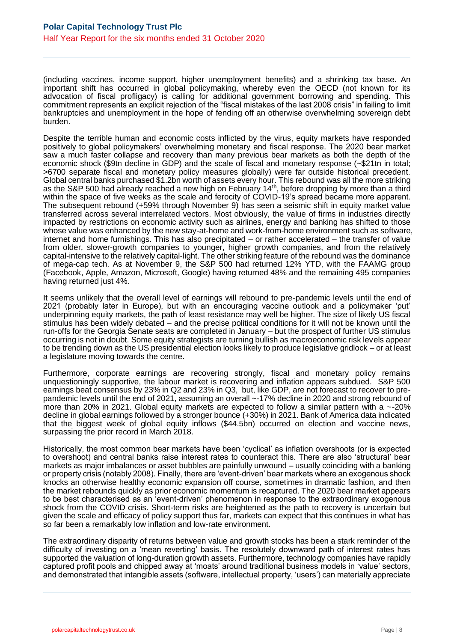(including vaccines, income support, higher unemployment benefits) and a shrinking tax base. An important shift has occurred in global policymaking, whereby even the OECD (not known for its advocation of fiscal profligacy) is calling for additional government borrowing and spending. This commitment represents an explicit rejection of the "fiscal mistakes of the last 2008 crisis" in failing to limit bankruptcies and unemployment in the hope of fending off an otherwise overwhelming sovereign debt burden.

Despite the terrible human and economic costs inflicted by the virus, equity markets have responded positively to global policymakers' overwhelming monetary and fiscal response. The 2020 bear market saw a much faster collapse and recovery than many previous bear markets as both the depth of the economic shock (\$9tn decline in GDP) and the scale of fiscal and monetary response (~\$21tn in total; >6700 separate fiscal and monetary policy measures globally) were far outside historical precedent. Global central banks purchased \$1.2bn worth of assets every hour. This rebound was all the more striking as the S&P 500 had already reached a new high on February 14<sup>th</sup>, before dropping by more than a third within the space of five weeks as the scale and ferocity of COVID-19's spread became more apparent. The subsequent rebound (+59% through November 9) has seen a seismic shift in equity market value transferred across several interrelated vectors. Most obviously, the value of firms in industries directly impacted by restrictions on economic activity such as airlines, energy and banking has shifted to those whose value was enhanced by the new stay-at-home and work-from-home environment such as software, internet and home furnishings. This has also precipitated – or rather accelerated – the transfer of value from older, slower-growth companies to younger, higher growth companies, and from the relatively capital-intensive to the relatively capital-light. The other striking feature of the rebound was the dominance of mega-cap tech. As at November 9, the S&P 500 had returned 12% YTD, with the FAAMG group (Facebook, Apple, Amazon, Microsoft, Google) having returned 48% and the remaining 495 companies having returned just 4%.

It seems unlikely that the overall level of earnings will rebound to pre-pandemic levels until the end of 2021 (probably later in Europe), but with an encouraging vaccine outlook and a policymaker 'put' underpinning equity markets, the path of least resistance may well be higher. The size of likely US fiscal stimulus has been widely debated – and the precise political conditions for it will not be known until the run-offs for the Georgia Senate seats are completed in January – but the prospect of further US stimulus occurring is not in doubt. Some equity strategists are turning bullish as macroeconomic risk levels appear to be trending down as the US presidential election looks likely to produce legislative gridlock – or at least a legislature moving towards the centre.

Furthermore, corporate earnings are recovering strongly, fiscal and monetary policy remains unquestioningly supportive, the labour market is recovering and inflation appears subdued. S&P 500 earnings beat consensus by 23% in Q2 and 23% in Q3, but, like GDP, are not forecast to recover to prepandemic levels until the end of 2021, assuming an overall ~-17% decline in 2020 and strong rebound of more than 20% in 2021. Global equity markets are expected to follow a similar pattern with a ~-20% decline in global earnings followed by a stronger bounce (+30%) in 2021. Bank of America data indicated that the biggest week of global equity inflows (\$44.5bn) occurred on election and vaccine news, surpassing the prior record in March 2018.

Historically, the most common bear markets have been 'cyclical' as inflation overshoots (or is expected to overshoot) and central banks raise interest rates to counteract this. There are also 'structural' bear markets as major imbalances or asset bubbles are painfully unwound – usually coinciding with a banking or property crisis (notably 2008). Finally, there are 'event-driven' bear markets where an exogenous shock knocks an otherwise healthy economic expansion off course, sometimes in dramatic fashion, and then the market rebounds quickly as prior economic momentum is recaptured. The 2020 bear market appears to be best characterised as an 'event-driven' phenomenon in response to the extraordinary exogenous shock from the COVID crisis. Short-term risks are heightened as the path to recovery is uncertain but given the scale and efficacy of policy support thus far, markets can expect that this continues in what has so far been a remarkably low inflation and low-rate environment.

The extraordinary disparity of returns between value and growth stocks has been a stark reminder of the difficulty of investing on a 'mean reverting' basis. The resolutely downward path of interest rates has supported the valuation of long-duration growth assets. Furthermore, technology companies have rapidly captured profit pools and chipped away at 'moats' around traditional business models in 'value' sectors, and demonstrated that intangible assets (software, intellectual property, 'users') can materially appreciate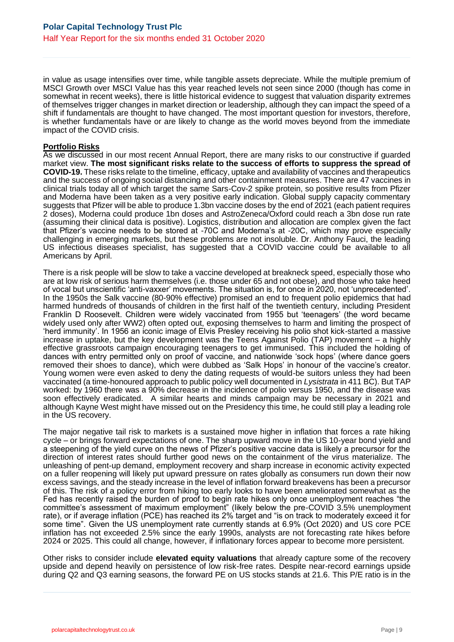in value as usage intensifies over time, while tangible assets depreciate. While the multiple premium of MSCI Growth over MSCI Value has this year reached levels not seen since 2000 (though has come in somewhat in recent weeks), there is little historical evidence to suggest that valuation disparity extremes of themselves trigger changes in market direction or leadership, although they can impact the speed of a shift if fundamentals are thought to have changed. The most important question for investors, therefore, is whether fundamentals have or are likely to change as the world moves beyond from the immediate impact of the COVID crisis.

#### **Portfolio Risks**

As we discussed in our most recent Annual Report, there are many risks to our constructive if guarded market view. **The most significant risks relate to the success of efforts to suppress the spread of COVID-19.** These risks relate to the timeline, efficacy, uptake and availability of vaccines and therapeutics and the success of ongoing social distancing and other containment measures. There are 47 vaccines in clinical trials today all of which target the same Sars-Cov-2 spike protein, so positive results from Pfizer and Moderna have been taken as a very positive early indication. Global supply capacity commentary suggests that Pfizer will be able to produce 1.3bn vaccine doses by the end of 2021 (each patient requires 2 doses), Moderna could produce 1bn doses and AstroZeneca/Oxford could reach a 3bn dose run rate (assuming their clinical data is positive). Logistics, distribution and allocation are complex given the fact that Pfizer's vaccine needs to be stored at -70C and Moderna's at -20C, which may prove especially challenging in emerging markets, but these problems are not insoluble. Dr. Anthony Fauci, the leading US infectious diseases specialist, has suggested that a COVID vaccine could be available to all Americans by April.

There is a risk people will be slow to take a vaccine developed at breakneck speed, especially those who are at low risk of serious harm themselves (i.e. those under 65 and not obese), and those who take heed of vocal but unscientific 'anti-vaxxer' movements. The situation is, for once in 2020, not 'unprecedented'. In the 1950s the Salk vaccine (80-90% effective) promised an end to frequent polio epidemics that had harmed hundreds of thousands of children in the first half of the twentieth century, including President Franklin D Roosevelt. Children were widely vaccinated from 1955 but 'teenagers' (the word became widely used only after WW2) often opted out, exposing themselves to harm and limiting the prospect of 'herd immunity'. In 1956 an iconic image of Elvis Presley receiving his polio shot kick-started a massive increase in uptake, but the key development was the Teens Against Polio (TAP) movement – a highly effective grassroots campaign encouraging teenagers to get immunised. This included the holding of dances with entry permitted only on proof of vaccine, and nationwide 'sock hops' (where dance goers removed their shoes to dance), which were dubbed as 'Salk Hops' in honour of the vaccine's creator. Young women were even asked to deny the dating requests of would-be suitors unless they had been vaccinated (a time-honoured approach to public policy well documented in *Lysistrata* in 411 BC). But TAP worked: by 1960 there was a 90% decrease in the incidence of polio versus 1950, and the disease was soon effectively eradicated. A similar hearts and minds campaign may be necessary in 2021 and although Kayne West might have missed out on the Presidency this time, he could still play a leading role in the US recovery.

The major negative tail risk to markets is a sustained move higher in inflation that forces a rate hiking cycle – or brings forward expectations of one. The sharp upward move in the US 10-year bond yield and a steepening of the yield curve on the news of Pfizer's positive vaccine data is likely a precursor for the direction of interest rates should further good news on the containment of the virus materialize. The unleashing of pent-up demand, employment recovery and sharp increase in economic activity expected on a fuller reopening will likely put upward pressure on rates globally as consumers run down their now excess savings, and the steady increase in the level of inflation forward breakevens has been a precursor of this. The risk of a policy error from hiking too early looks to have been ameliorated somewhat as the Fed has recently raised the burden of proof to begin rate hikes only once unemployment reaches "the committee's assessment of maximum employment" (likely below the pre-COVID 3.5% unemployment rate), or if average inflation (PCE) has reached its 2% target and "is on track to moderately exceed it for some time". Given the US unemployment rate currently stands at 6.9% (Oct 2020) and US core PCE inflation has not exceeded 2.5% since the early 1990s, analysts are not forecasting rate hikes before 2024 or 2025. This could all change, however, if inflationary forces appear to become more persistent.

Other risks to consider include **elevated equity valuations** that already capture some of the recovery upside and depend heavily on persistence of low risk-free rates. Despite near-record earnings upside during Q2 and Q3 earning seasons, the forward PE on US stocks stands at 21.6. This P/E ratio is in the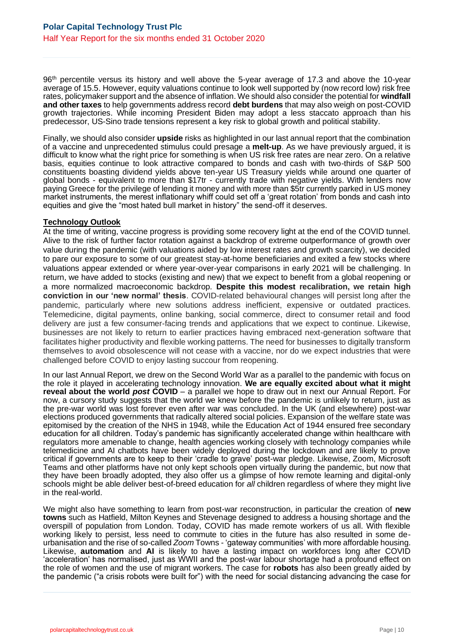96<sup>th</sup> percentile versus its history and well above the 5-year average of 17.3 and above the 10-year average of 15.5. However, equity valuations continue to look well supported by (now record low) risk free rates, policymaker support and the absence of inflation. We should also consider the potential for **windfall and other taxes** to help governments address record **debt burdens** that may also weigh on post-COVID growth trajectories. While incoming President Biden may adopt a less staccato approach than his predecessor, US-Sino trade tensions represent a key risk to global growth and political stability.

Finally, we should also consider **upside** risks as highlighted in our last annual report that the combination of a vaccine and unprecedented stimulus could presage a **melt-up**. As we have previously argued, it is difficult to know what the right price for something is when US risk free rates are near zero. On a relative basis, equities continue to look attractive compared to bonds and cash with two-thirds of S&P 500 constituents boasting dividend yields above ten-year US Treasury yields while around one quarter of global bonds - equivalent to more than \$17tr - currently trade with negative yields. With lenders now paying Greece for the privilege of lending it money and with more than \$5tr currently parked in US money market instruments, the merest inflationary whiff could set off a 'great rotation' from bonds and cash into equities and give the "most hated bull market in history" the send-off it deserves.

### **Technology Outlook**

At the time of writing, vaccine progress is providing some recovery light at the end of the COVID tunnel. Alive to the risk of further factor rotation against a backdrop of extreme outperformance of growth over value during the pandemic (with valuations aided by low interest rates and growth scarcity), we decided to pare our exposure to some of our greatest stay-at-home beneficiaries and exited a few stocks where valuations appear extended or where year-over-year comparisons in early 2021 will be challenging. In return, we have added to stocks (existing and new) that we expect to benefit from a global reopening or a more normalized macroeconomic backdrop. **Despite this modest recalibration, we retain high conviction in our 'new normal' thesis**. COVID-related behavioural changes will persist long after the pandemic, particularly where new solutions address inefficient, expensive or outdated practices. Telemedicine, digital payments, online banking, social commerce, direct to consumer retail and food delivery are just a few consumer-facing trends and applications that we expect to continue. Likewise, businesses are not likely to return to earlier practices having embraced next-generation software that facilitates higher productivity and flexible working patterns. The need for businesses to digitally transform themselves to avoid obsolescence will not cease with a vaccine, nor do we expect industries that were challenged before COVID to enjoy lasting succour from reopening.

In our last Annual Report, we drew on the Second World War as a parallel to the pandemic with focus on the role it played in accelerating technology innovation. **We are equally excited about what it might reveal about the world** *post* **COVID** – a parallel we hope to draw out in next our Annual Report. For now, a cursory study suggests that the world we knew before the pandemic is unlikely to return, just as the pre-war world was lost forever even after war was concluded. In the UK (and elsewhere) post-war elections produced governments that radically altered social policies. Expansion of the welfare state was epitomised by the creation of the NHS in 1948, while the Education Act of 1944 ensured free secondary education for all children. Today's pandemic has significantly accelerated change within healthcare with regulators more amenable to change, health agencies working closely with technology companies while telemedicine and AI chatbots have been widely deployed during the lockdown and are likely to prove critical if governments are to keep to their 'cradle to grave' post-war pledge. Likewise, Zoom, Microsoft Teams and other platforms have not only kept schools open virtually during the pandemic, but now that they have been broadly adopted, they also offer us a glimpse of how remote learning and digital-only schools might be able deliver best-of-breed education for *all* children regardless of where they might live in the real-world.

We might also have something to learn from post-war reconstruction, in particular the creation of **new towns** such as Hatfield, Milton Keynes and Stevenage designed to address a housing shortage and the overspill of population from London. Today, COVID has made remote workers of us all. With flexible working likely to persist, less need to commute to cities in the future has also resulted in some deurbanisation and the rise of so-called *Zoom* Towns - 'gateway communities' with more affordable housing. Likewise, **automation** and **AI** is likely to have a lasting impact on workforces long after COVID 'acceleration' has normalised, just as WWII and the post-war labour shortage had a profound effect on the role of women and the use of migrant workers. The case for **robots** has also been greatly aided by the pandemic ("a crisis robots were built for") with the need for social distancing advancing the case for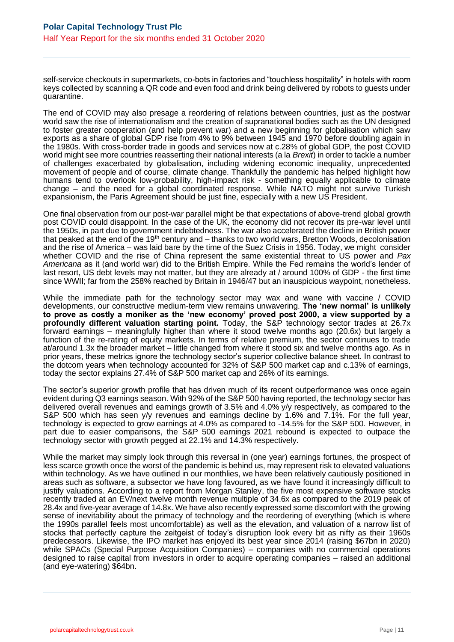self-service checkouts in supermarkets, co-bots in factories and "touchless hospitality" in hotels with room keys collected by scanning a QR code and even food and drink being delivered by robots to guests under quarantine.

The end of COVID may also presage a reordering of relations between countries, just as the postwar world saw the rise of internationalism and the creation of supranational bodies such as the UN designed to foster greater cooperation (and help prevent war) and a new beginning for globalisation which saw exports as a share of global GDP rise from 4% to 9% between 1945 and 1970 before doubling again in the 1980s. With cross-border trade in goods and services now at c.28% of global GDP, the post COVID world might see more countries reasserting their national interests (a la *Brexit*) in order to tackle a number of challenges exacerbated by globalisation, including widening economic inequality, unprecedented movement of people and of course, climate change. Thankfully the pandemic has helped highlight how humans tend to overlook low-probability, high-impact risk - something equally applicable to climate change – and the need for a global coordinated response. While NATO might not survive Turkish expansionism, the Paris Agreement should be just fine, especially with a new US President.

One final observation from our post-war parallel might be that expectations of above-trend global growth post COVID could disappoint. In the case of the UK, the economy did not recover its pre-war level until the 1950s, in part due to government indebtedness. The war also accelerated the decline in British power that peaked at the end of the 19<sup>th</sup> century and – thanks to two world wars, Bretton Woods, decolonisation and the rise of America – was laid bare by the time of the Suez Crisis in 1956. Today, we might consider whether COVID and the rise of China represent the same existential threat to US power and *Pax Americana* as it (and world war) did to the British Empire. While the Fed remains the world's lender of last resort, US debt levels may not matter, but they are already at / around 100% of GDP - the first time since WWII; far from the 258% reached by Britain in 1946/47 but an inauspicious waypoint, nonetheless.

While the immediate path for the technology sector may wax and wane with vaccine / COVID developments, our constructive medium-term view remains unwavering. **The 'new normal' is unlikely to prove as costly a moniker as the 'new economy' proved post 2000, a view supported by a profoundly different valuation starting point.** Today, the S&P technology sector trades at 26.7x forward earnings – meaningfully higher than where it stood twelve months ago (20.6x) but largely a function of the re-rating of equity markets. In terms of relative premium, the sector continues to trade at/around 1.3x the broader market – little changed from where it stood six and twelve months ago. As in prior years, these metrics ignore the technology sector's superior collective balance sheet. In contrast to the dotcom years when technology accounted for 32% of S&P 500 market cap and c.13% of earnings, today the sector explains 27.4% of S&P 500 market cap and 26% of its earnings.

The sector's superior growth profile that has driven much of its recent outperformance was once again evident during Q3 earnings season. With 92% of the S&P 500 having reported, the technology sector has delivered overall revenues and earnings growth of 3.5% and 4.0% y/y respectively, as compared to the S&P 500 which has seen y/y revenues and earnings decline by 1.6% and 7.1%. For the full year, technology is expected to grow earnings at 4.0% as compared to -14.5% for the S&P 500. However, in part due to easier comparisons, the S&P 500 earnings 2021 rebound is expected to outpace the technology sector with growth pegged at 22.1% and 14.3% respectively.

While the market may simply look through this reversal in (one year) earnings fortunes, the prospect of less scarce growth once the worst of the pandemic is behind us, may represent risk to elevated valuations within technology. As we have outlined in our monthlies, we have been relatively cautiously positioned in areas such as software, a subsector we have long favoured, as we have found it increasingly difficult to justify valuations. According to a report from Morgan Stanley, the five most expensive software stocks recently traded at an EV/next twelve month revenue multiple of 34.6x as compared to the 2019 peak of 28.4x and five-year average of 14.8x. We have also recently expressed some discomfort with the growing sense of inevitability about the primacy of technology and the reordering of everything (which is where the 1990s parallel feels most uncomfortable) as well as the elevation, and valuation of a narrow list of stocks that perfectly capture the zeitgeist of today's disruption look every bit as nifty as their 1960s predecessors. Likewise, the IPO market has enjoyed its best year since 2014 (raising \$67bn in 2020) while SPACs (Special Purpose Acquisition Companies) – companies with no commercial operations designed to raise capital from investors in order to acquire operating companies – raised an additional (and eye-watering) \$64bn.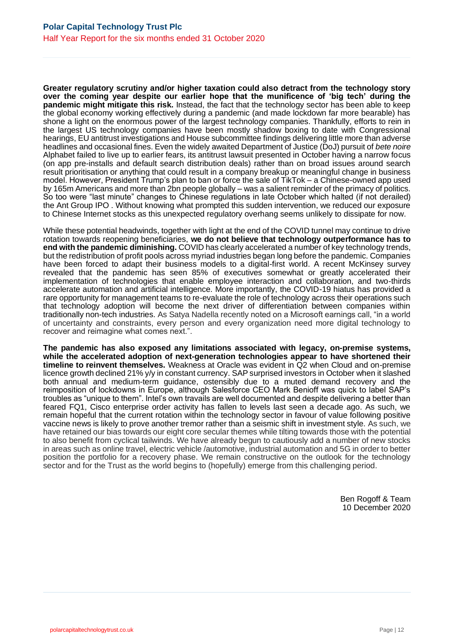**Greater regulatory scrutiny and/or higher taxation could also detract from the technology story over the coming year despite our earlier hope that the munificence of 'big tech' during the pandemic might mitigate this risk.** Instead, the fact that the technology sector has been able to keep the global economy working effectively during a pandemic (and made lockdown far more bearable) has shone a light on the enormous power of the largest technology companies. Thankfully, efforts to rein in the largest US technology companies have been mostly shadow boxing to date with Congressional hearings, EU antitrust investigations and House subcommittee findings delivering little more than adverse headlines and occasional fines. Even the widely awaited Department of Justice (DoJ) pursuit of *bete noire*  Alphabet failed to live up to earlier fears, its antitrust lawsuit presented in October having a narrow focus (on app pre-installs and default search distribution deals) rather than on broad issues around search result prioritisation or anything that could result in a company breakup or meaningful change in business model. However, President Trump's plan to ban or force the sale of TikTok – a Chinese-owned app used by 165m Americans and more than 2bn people globally – was a salient reminder of the primacy of politics. So too were "last minute" changes to Chinese regulations in late October which halted (if not derailed) the Ant Group IPO . Without knowing what prompted this sudden intervention, we reduced our exposure to Chinese Internet stocks as this unexpected regulatory overhang seems unlikely to dissipate for now.

While these potential headwinds, together with light at the end of the COVID tunnel may continue to drive rotation towards reopening beneficiaries, **we do not believe that technology outperformance has to end with the pandemic diminishing.** COVID has clearly accelerated a number of key technology trends, but the redistribution of profit pools across myriad industries began long before the pandemic. Companies have been forced to adapt their business models to a digital-first world. A recent McKinsey survey revealed that the pandemic has seen 85% of executives somewhat or greatly accelerated their implementation of technologies that enable employee interaction and collaboration, and two-thirds accelerate automation and artificial intelligence. More importantly, the COVID-19 hiatus has provided a rare opportunity for management teams to re-evaluate the role of technology across their operations such that technology adoption will become the next driver of differentiation between companies within traditionally non-tech industries. As Satya Nadella recently noted on a Microsoft earnings call, "in a world of uncertainty and constraints, every person and every organization need more digital technology to recover and reimagine what comes next.".

**The pandemic has also exposed any limitations associated with legacy, on-premise systems, while the accelerated adoption of next-generation technologies appear to have shortened their timeline to reinvent themselves.** Weakness at Oracle was evident in Q2 when Cloud and on-premise licence growth declined 21% y/y in constant currency. SAP surprised investors in October when it slashed both annual and medium-term guidance, ostensibly due to a muted demand recovery and the reimposition of lockdowns in Europe, although Salesforce CEO Mark Benioff was quick to label SAP's troubles as "unique to them". Intel's own travails are well documented and despite delivering a better than feared FQ1, Cisco enterprise order activity has fallen to levels last seen a decade ago. As such, we remain hopeful that the current rotation within the technology sector in favour of value following positive vaccine news is likely to prove another tremor rather than a seismic shift in investment style. As such, we have retained our bias towards our eight core secular themes while tilting towards those with the potential to also benefit from cyclical tailwinds. We have already begun to cautiously add a number of new stocks in areas such as online travel, electric vehicle /automotive, industrial automation and 5G in order to better position the portfolio for a recovery phase. We remain constructive on the outlook for the technology sector and for the Trust as the world begins to (hopefully) emerge from this challenging period.

> Ben Rogoff & Team 10 December 2020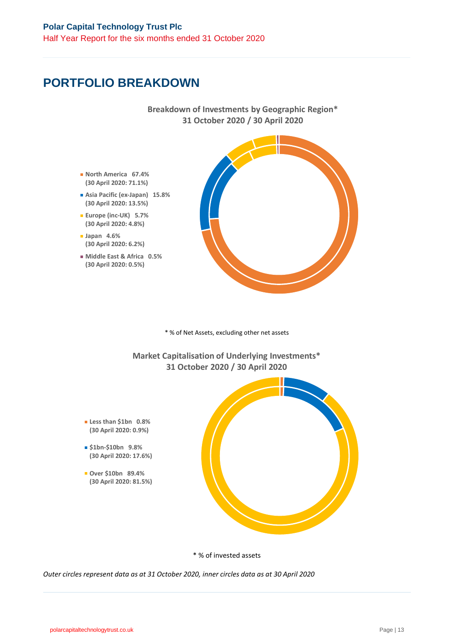## **PORTFOLIO BREAKDOWN**

**Japan 4.6%**

**Breakdown of Investments by Geographic Region\* 31 October 2020 / 30 April 2020**



\* % of Net Assets, excluding other net assets

**Market Capitalisation of Underlying Investments\* 31 October 2020 / 30 April 2020**

- **Less than \$1bn 0.8% (30 April 2020: 0.9%)**
- **\$1bn-\$10bn 9.8% (30 April 2020: 17.6%)**
- **Over \$10bn 89.4% (30 April 2020: 81.5%)**



\* % of invested assets

*Outer circles represent data as at 31 October 2020, inner circles data as at 30 April 2020*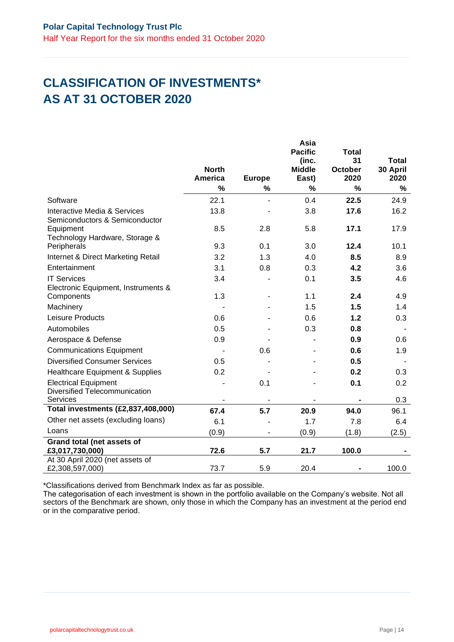# **CLASSIFICATION OF INVESTMENTS\* AS AT 31 OCTOBER 2020**

|                                                                | <b>North</b>             |               | Asia<br><b>Pacific</b><br>(inc.<br><b>Middle</b> | <b>Total</b><br>31<br><b>October</b> | <b>Total</b><br>30 April |
|----------------------------------------------------------------|--------------------------|---------------|--------------------------------------------------|--------------------------------------|--------------------------|
|                                                                | <b>America</b>           | <b>Europe</b> | East)                                            | 2020                                 | 2020                     |
|                                                                | $\frac{9}{6}$            | %             | $\frac{0}{0}$                                    | %                                    | %                        |
| Software                                                       | 22.1                     | L.            | 0.4                                              | 22.5                                 | 24.9                     |
| Interactive Media & Services<br>Semiconductors & Semiconductor | 13.8                     |               | 3.8                                              | 17.6                                 | 16.2                     |
| Equipment                                                      | 8.5                      | 2.8           | 5.8                                              | 17.1                                 | 17.9                     |
| Technology Hardware, Storage &                                 |                          |               |                                                  |                                      |                          |
| Peripherals                                                    | 9.3                      | 0.1           | 3.0                                              | 12.4                                 | 10.1                     |
| Internet & Direct Marketing Retail                             | 3.2                      | 1.3           | 4.0                                              | 8.5                                  | 8.9                      |
| Entertainment                                                  | 3.1                      | 0.8           | 0.3                                              | 4.2                                  | 3.6                      |
| <b>IT Services</b>                                             | 3.4                      |               | 0.1                                              | 3.5                                  | 4.6                      |
| Electronic Equipment, Instruments &                            |                          |               |                                                  |                                      |                          |
| Components                                                     | 1.3                      |               | 1.1                                              | 2.4                                  | 4.9                      |
| Machinery                                                      |                          |               | 1.5                                              | 1.5                                  | 1.4                      |
| Leisure Products                                               | 0.6                      |               | 0.6                                              | 1.2                                  | 0.3                      |
| Automobiles                                                    | 0.5                      |               | 0.3                                              | 0.8                                  |                          |
| Aerospace & Defense                                            | 0.9                      |               |                                                  | 0.9                                  | 0.6                      |
| <b>Communications Equipment</b>                                |                          | 0.6           |                                                  | 0.6                                  | 1.9                      |
| <b>Diversified Consumer Services</b>                           | 0.5                      |               |                                                  | 0.5                                  |                          |
| <b>Healthcare Equipment &amp; Supplies</b>                     | 0.2                      |               |                                                  | 0.2                                  | 0.3                      |
| <b>Electrical Equipment</b><br>Diversified Telecommunication   |                          | 0.1           |                                                  | 0.1                                  | 0.2                      |
| <b>Services</b>                                                | $\overline{\phantom{a}}$ | -             | $\qquad \qquad \blacksquare$                     | $\qquad \qquad \blacksquare$         | 0.3                      |
| Total investments (£2,837,408,000)                             | 67.4                     | 5.7           | 20.9                                             | 94.0                                 | 96.1                     |
| Other net assets (excluding loans)                             | 6.1                      |               | 1.7                                              | 7.8                                  | 6.4                      |
| Loans                                                          | (0.9)                    |               | (0.9)                                            | (1.8)                                | (2.5)                    |
| Grand total (net assets of                                     |                          |               |                                                  |                                      |                          |
| £3,017,730,000)                                                | 72.6                     | 5.7           | 21.7                                             | 100.0                                |                          |
| At 30 April 2020 (net assets of<br>£2,308,597,000)             | 73.7                     | 5.9           | 20.4                                             |                                      | 100.0                    |

\*Classifications derived from Benchmark Index as far as possible.

The categorisation of each investment is shown in the portfolio available on the Company's website. Not all sectors of the Benchmark are shown, only those in which the Company has an investment at the period end or in the comparative period.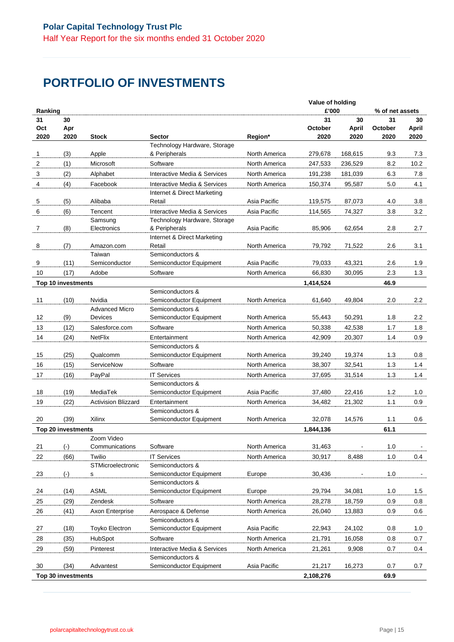# **PORTFOLIO OF INVESTMENTS**

|         |                    |                                  |                                             | Value of holding |           |                      |                 |                |
|---------|--------------------|----------------------------------|---------------------------------------------|------------------|-----------|----------------------|-----------------|----------------|
| Ranking |                    |                                  |                                             |                  | £'000     |                      | % of net assets |                |
| 31      | 30                 |                                  |                                             |                  | 31        | 30                   | 31              | 30             |
| Oct     | Apr                |                                  |                                             |                  | October   | April                | October         | April          |
| 2020    | 2020               | <b>Stock</b>                     | <b>Sector</b>                               | Region*          | 2020      | 2020                 | 2020            | 2020           |
|         |                    |                                  | Technology Hardware, Storage                |                  |           |                      |                 |                |
| 1       | (3)                | Apple                            | & Peripherals                               | North America    | 279,678   | 168,615              | 9.3             | 7.3            |
| 2       | (1)                | Microsoft                        | Software                                    | North America    | 247,533   | 236,529              | 8.2             | 10.2           |
| 3       | (2)                | Alphabet                         | Interactive Media & Services                | North America    | 191,238   | 181,039              | 6.3             | 7.8            |
| 4       | (4)                | Facebook                         | Interactive Media & Services                | North America    | 150,374   | 95,587               | 5.0             | 4.1            |
|         |                    |                                  | Internet & Direct Marketing                 |                  |           |                      |                 |                |
| 5       | (5)                | Alibaba                          | Retail                                      | Asia Pacific     | 119,575   | 87,073               | 4.0             | 3.8            |
| 6       | (6)                | Tencent                          | Interactive Media & Services                | Asia Pacific     | 114,565   | 74,327               | 3.8             | 3.2            |
|         |                    | Samsung                          | Technology Hardware, Storage                |                  |           |                      |                 |                |
| 7       | (8)                | Electronics                      | & Peripherals                               | Asia Pacific     | 85,906    | 62,654               | 2.8             | 2.7            |
|         |                    |                                  | Internet & Direct Marketing                 |                  |           |                      |                 |                |
| 8       | (7)                | Amazon.com                       | Retail                                      | North America    | 79,792    | 71,522               | 2.6             | 3.1            |
|         |                    | Taiwan                           | Semiconductors &                            |                  |           |                      |                 |                |
| 9       | (11)               | Semiconductor                    | Semiconductor Equipment                     | Asia Pacific     | 79,033    | 43,321               | 2.6             | 1.9            |
| 10      | (17)               | Adobe                            | Software                                    | North America    | 66,830    | 30,095               | 2.3             | 1.3            |
|         | Top 10 investments |                                  |                                             |                  | 1,414,524 |                      | 46.9            |                |
|         |                    |                                  | Semiconductors &                            |                  |           |                      |                 |                |
| 11      | (10)               | Nvidia                           | Semiconductor Equipment                     | North America    | 61,640    | 49.804               | 2.0             | 2.2            |
| 12      | (9)                | <b>Advanced Micro</b><br>Devices | Semiconductors &<br>Semiconductor Equipment | North America    | 55,443    | 50,291               | 1.8             | 2.2            |
|         |                    |                                  |                                             |                  |           |                      |                 |                |
| 13      | (12)               | Salesforce.com                   | Software                                    | North America    | 50,338    | 42,538               | 1.7             | 1.8            |
| 14      | (24)               | NetFlix                          | Entertainment                               | North America    | 42,909    | 20,307               | 1.4             | 0.9            |
| 15      | (25)               | Qualcomm                         | Semiconductors &<br>Semiconductor Equipment | North America    | 39,240    | 19,374               | 1.3             | 0.8            |
|         |                    |                                  |                                             |                  |           |                      |                 |                |
| 16      | (15)               | ServiceNow                       | Software                                    | North America    | 38,307    | 32,541               | 1.3             | 1.4            |
| 17      | (16)               | PayPal                           | <b>IT Services</b>                          | North America    | 37,695    | 31,514               | 1.3             | 1.4            |
|         |                    | MediaTek                         | Semiconductors &                            |                  |           |                      |                 |                |
| 18      | (19)               |                                  | Semiconductor Equipment                     | Asia Pacific     | 37,480    | 22,416               | 1.2             | 1.0            |
| 19      | (22)               | <b>Activision Blizzard</b>       | Entertainment                               | North America    | 34,482    | 21,302               | 1.1             | 0.9            |
| 20      | (39)               | Xilinx                           | Semiconductors &<br>Semiconductor Equipment | North America    | 32,078    | 14,576               | 1.1             | 0.6            |
|         |                    |                                  |                                             |                  |           |                      |                 |                |
|         | Top 20 investments | Zoom Video                       |                                             |                  | 1,844,136 |                      | 61.1            |                |
| 21      | $(\cdot)$          | Communications                   | Software                                    | North America    | 31,463    | $\ddot{\phantom{1}}$ | 1.0             | $\blacksquare$ |
| 22      | (66)               | Twilio                           | <b>IT Services</b>                          | North America    | 30,917    | 8,488                | 1.0             | 0.4            |
|         |                    | STMicroelectronic                | Semiconductors &                            |                  |           |                      |                 |                |
| 23      | $(\cdot)$          | s                                | Semiconductor Equipment                     | Europe           | 30,436    |                      | 1.0             |                |
|         |                    |                                  | Semiconductors &                            |                  |           |                      |                 |                |
| 24      | (14)               | <b>ASML</b>                      | Semiconductor Equipment                     | Europe           | 29,794    | 34,081               | 1.0             | 1.5            |
| 25      | (29)               | Zendesk                          | Software                                    | North America    | 28,278    | 18,759               | 0.9             | 0.8            |
| 26      | (41)               | Axon Enterprise                  | Aerospace & Defense                         | North America    | 26,040    | 13,883               | 0.9             | 0.6            |
|         |                    |                                  | Semiconductors &                            |                  |           |                      |                 |                |
| 27      | (18)               | Toyko Electron                   | Semiconductor Equipment                     | Asia Pacific     | 22,943    | 24,102               | 0.8             | 1.0            |
| 28      | (35)               | HubSpot                          | Software                                    | North America    | 21,791    | 16,058               | 0.8             | 0.7            |
| 29      | (59)               | Pinterest                        | Interactive Media & Services                | North America    | 21,261    | 9,908                | 0.7             | 0.4            |
|         |                    |                                  | Semiconductors &                            |                  |           |                      |                 |                |
| 30      | (34)               | Advantest                        | Semiconductor Equipment                     | Asia Pacific     | 21,217    | 16,273               | 0.7             | 0.7            |
|         | Top 30 investments |                                  |                                             |                  | 2,108,276 |                      | 69.9            |                |
|         |                    |                                  |                                             |                  |           |                      |                 |                |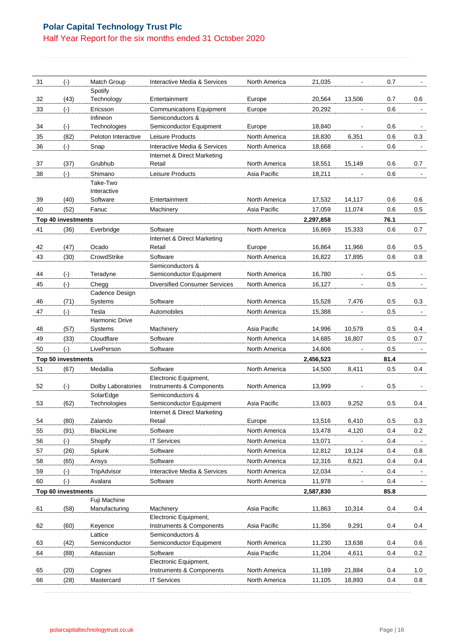## **Polar Capital Technology Trust Plc** Half Year Report for the six months ended 31 October 2020

| 31       | $(\cdot)$          | Match Group          | Interactive Media & Services                                | North America | 21,035    |                  | 0.7        |              |
|----------|--------------------|----------------------|-------------------------------------------------------------|---------------|-----------|------------------|------------|--------------|
|          |                    | Spotify              |                                                             |               |           |                  |            |              |
| 32       | (43)               | Technology           | Entertainment                                               | Europe        | 20,564    | 13,506           | 0.7        | 0.6          |
| 33       | $(\cdot)$          | Ericsson             | <b>Communications Equipment</b>                             | Europe        | 20,292    |                  | 0.6        | $\mathbf{r}$ |
|          |                    | Infineon             | Semiconductors &                                            |               |           |                  |            |              |
| 34       | $(-)$              | Technologies         | Semiconductor Equipment                                     | Europe        | 18,840    |                  | 0.6        |              |
| 35       | (82)               | Peloton Interactive  | Leisure Products                                            | North America | 18,830    | 6,351            | 0.6        | 0.3          |
| 36       | $(\cdot)$          | Snap                 | Interactive Media & Services<br>Internet & Direct Marketing | North America | 18,668    |                  | 0.6        |              |
| 37       | (37)               | Grubhub              | Retail                                                      | North America | 18,551    | 15,149           | 0.6        | 0.7          |
| 38       | $(\cdot)$          | Shimano              | Leisure Products                                            | Asia Pacific  | 18,211    |                  | 0.6        |              |
|          |                    | Take-Two             |                                                             |               |           |                  |            |              |
|          |                    | Interactive          |                                                             |               |           |                  |            |              |
| 39       | (40)               | Software             | Entertainment                                               | North America | 17,532    | 14,117           | 0.6        | 0.6          |
| 40       | (52)               | Fanuc                | Machinery                                                   | Asia Pacific  | 17,059    | 11,074           | 0.6        | 0.5          |
|          | Top 40 investments |                      |                                                             |               | 2,297,858 |                  | 76.1       |              |
| 41       | (36)               | Everbridge           | Software                                                    | North America | 16,869    | 15,333           | 0.6        | 0.7          |
|          |                    |                      | Internet & Direct Marketing                                 |               |           |                  |            |              |
| 42<br>43 | (47)<br>(30)       | Ocado<br>CrowdStrike | Retail<br>Software                                          | Europe        | 16,864    | 11,966<br>17.895 | 0.6<br>0.6 | 0.5<br>0.8   |
|          |                    |                      | Semiconductors &                                            | North America | 16,822    |                  |            |              |
| 44       | $(\cdot)$          | Teradyne             | Semiconductor Equipment                                     | North America | 16,780    |                  | 0.5        |              |
| 45       | $(-)$              | Chegg                | <b>Diversified Consumer Services</b>                        | North America | 16,127    |                  | 0.5        |              |
|          |                    | Cadence Design       |                                                             |               |           |                  |            |              |
| 46       | (71)               | Systems              | Software                                                    | North America | 15,528    | 7,476            | 0.5        | 0.3          |
| 47       | $(-)$              | Tesla                | Automobiles                                                 | North America | 15,388    |                  | 0.5        |              |
|          |                    | Harmonic Drive       |                                                             |               |           |                  |            |              |
| 48       | (57)               | Systems              | Machinery                                                   | Asia Pacific  | 14,996    | 10,579           | 0.5        | 0.4          |
| 49       | (33)               | Cloudflare           | Software                                                    | North America | 14,685    | 16,807           | 0.5        | 0.7          |
| 50       | $(\cdot)$          | LivePerson           | Software                                                    | North America | 14,606    |                  | 0.5        |              |
|          | Top 50 investments |                      |                                                             |               | 2,456,523 |                  | 81.4       |              |
| 51       | (67)               | Medallia             | Software<br>Electronic Equipment,                           | North America | 14,500    | 8,411            | 0.5        | 0.4          |
| 52       | $(\cdot)$          | Dolby Laboratories   | Instruments & Components                                    | North America | 13,999    |                  | 0.5        |              |
|          |                    | SolarEdge            | Semiconductors &                                            |               |           |                  |            |              |
| 53       | (62)               | Technologies         | Semiconductor Equipment                                     | Asia Pacific  | 13,603    | 9,252            | 0.5        | 0.4          |
|          |                    |                      | Internet & Direct Marketing                                 |               |           |                  |            |              |
| 54       | (80)               | Zalando              | Retail                                                      | Europe        | 13,516    | 6,410            | 0.5        | 0.3          |
| 55       | (91)               | BlackLine            | Software                                                    | North America | 13,478    | 4,120            | 0.4        | 0.2          |
| 56       | $(\cdot)$          | Shopify              | <b>IT Services</b>                                          | North America | 13,071    |                  | 0.4        |              |
| 57       | (26)               | Splunk               | Software                                                    | North America | 12,812    | 19,124           | 0.4        | 0.8          |
| 58       | (65)               | Ansys                | Software                                                    | North America | 12,316    | 8,621            | 0.4        | 0.4          |
| 59       | $(\cdot)$          | TripAdvisor          | Interactive Media & Services                                | North America | 12,034    |                  | 0.4        |              |
| 60       | $(-)$              | Avalara              | Software                                                    | North America | 11,978    |                  | 0.4        |              |
|          | Top 60 investments | Fuji Machine         |                                                             |               | 2,587,830 |                  | 85.8       |              |
| 61       | (58)               | Manufacturing        | Machinery                                                   | Asia Pacific  | 11,863    | 10,314           | 0.4        | 0.4          |
|          |                    |                      | Electronic Equipment,                                       |               |           |                  |            |              |
| 62       | (60)               | Keyence              | Instruments & Components                                    | Asia Pacific  | 11,356    | 9,291            | 0.4        | 0.4          |
|          |                    | Lattice              | Semiconductors &                                            |               |           |                  |            |              |
| 63       | (42)               | Semiconductor        | Semiconductor Equipment                                     | North America | 11,230    | 13,638           | 0.4        | $0.6\,$      |
| 64       | (88)               | Atlassian            | Software                                                    | Asia Pacific  | 11,204    | 4,611            | 0.4        | 0.2          |
| 65       | (20)               |                      | Electronic Equipment,<br>Instruments & Components           | North America | 11,189    | 21,884           | 0.4        |              |
|          | (28)               | Cognex<br>Mastercard | <b>IT Services</b>                                          | North America | 11,105    | 18,893           | 0.4        | 1.0<br>0.8   |
| 66       |                    |                      |                                                             |               |           |                  |            |              |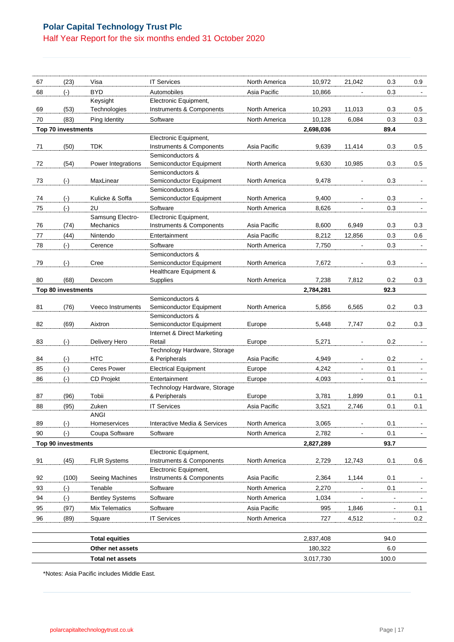## **Polar Capital Technology Trust Plc** Half Year Report for the six months ended 31 October 2020

| 67 | (23)                      | Visa                     | <b>IT Services</b>                                | North America | 10,972    | 21,042                   | 0.3            | 0.9            |
|----|---------------------------|--------------------------|---------------------------------------------------|---------------|-----------|--------------------------|----------------|----------------|
| 68 | $(\cdot)$                 | <b>BYD</b>               | Automobiles                                       | Asia Pacific  | 10,866    |                          | 0.3            |                |
|    |                           | Keysight                 | Electronic Equipment,                             |               |           |                          |                |                |
| 69 | (53)                      | Technologies             | Instruments & Components                          | North America | 10,293    | 11,013                   | 0.3            | 0.5            |
| 70 | (83)                      | Ping Identity            | Software                                          | North America | 10,128    | 6,084                    | 0.3            | 0.3            |
|    | Top 70 investments        |                          |                                                   |               | 2,698,036 |                          | 89.4           |                |
|    |                           |                          | Electronic Equipment,                             |               |           |                          |                |                |
| 71 | (50)                      | <b>TDK</b>               | Instruments & Components<br>Semiconductors &      | Asia Pacific  | 9,639     | 11,414                   | 0.3            | 0.5            |
| 72 | (54)                      | Power Integrations       | Semiconductor Equipment                           | North America | 9,630     | 10,985                   | 0.3            | 0.5            |
|    |                           |                          | Semiconductors &                                  |               |           |                          |                |                |
| 73 | $(\cdot)$                 | MaxLinear                | Semiconductor Equipment                           | North America | 9,478     |                          | 0.3            | $\blacksquare$ |
|    |                           |                          | Semiconductors &                                  |               |           |                          |                |                |
| 74 | $(\cdot)$                 | Kulicke & Soffa          | Semiconductor Equipment                           | North America | 9,400     |                          | 0.3            |                |
| 75 | $(\cdot)$                 | 2U                       | Software                                          | North America | 8,626     | $\overline{\phantom{a}}$ | 0.3            | $\blacksquare$ |
|    |                           | Samsung Electro-         | Electronic Equipment,                             |               |           |                          |                |                |
| 76 | (74)                      | Mechanics                | Instruments & Components                          | Asia Pacific  | 8,600     | 6,949                    | 0.3            | 0.3            |
| 77 | (44)                      | Nintendo                 | Entertainment                                     | Asia Pacific  | 8,212     | 12,856                   | 0.3            | 0.6            |
| 78 | $(\cdot)$                 | Cerence                  | Software                                          | North America | 7,750     |                          | 0.3            |                |
| 79 |                           | Cree                     | Semiconductors &<br>Semiconductor Equipment       | North America | 7,672     |                          | 0.3            |                |
|    | $(\cdot)$                 |                          | Healthcare Equipment &                            |               |           |                          |                |                |
| 80 | (68)                      | Dexcom                   | <b>Supplies</b>                                   | North America | 7,238     | 7,812                    | 0.2            | 0.3            |
|    | Top 80 investments        |                          |                                                   |               | 2,784,281 |                          | 92.3           |                |
|    |                           |                          | Semiconductors &                                  |               |           |                          |                |                |
| 81 | (76)                      | <b>Veeco Instruments</b> | Semiconductor Equipment                           | North America | 5,856     | 6,565                    | 0.2            | 0.3            |
|    |                           |                          | Semiconductors &                                  |               |           |                          |                |                |
| 82 | (69)                      | Aixtron                  | Semiconductor Equipment                           | Europe        | 5,448     | 7,747                    | 0.2            | 0.3            |
| 83 |                           | Delivery Hero            | Internet & Direct Marketing                       |               | 5,271     |                          | 0.2            |                |
|    | $(\cdot)$                 |                          | Retail<br>Technology Hardware, Storage            | Europe        |           |                          |                |                |
| 84 | $(\cdot)$                 | <b>HTC</b>               | & Peripherals                                     | Asia Pacific  | 4,949     | $\blacksquare$           | 0.2            | $\blacksquare$ |
| 85 | $(\cdot)$                 | <b>Ceres Power</b>       | <b>Electrical Equipment</b>                       | Europe        | 4,242     | $\overline{a}$           | 0.1            |                |
| 86 | $(-)$                     | CD Projekt               | Entertainment                                     | Europe        | 4,093     |                          | 0.1            |                |
|    |                           |                          | Technology Hardware, Storage                      |               |           |                          |                |                |
| 87 | (96)                      | Tobii                    | & Peripherals                                     | Europe        | 3,781     | 1,899                    | 0.1            | 0.1            |
| 88 | (95)                      | Zuken                    | <b>IT Services</b>                                | Asia Pacific  | 3,521     | 2,746                    | 0.1            | 0.1            |
|    |                           | ANGI                     |                                                   |               |           |                          |                |                |
| 89 | $(\cdot)$                 | Homeservices             | Interactive Media & Services                      | North America | 3,065     | $\blacksquare$           | 0.1            |                |
| 90 | $(-)$                     | Coupa Software           | Software                                          | North America | 2,782     |                          | 0.1            |                |
|    | <b>Top 90 investments</b> |                          |                                                   |               | 2,827,289 |                          | 93.7           |                |
|    |                           |                          | Electronic Equipment,                             |               |           |                          |                |                |
| 91 | (45)                      | <b>FLIR Systems</b>      | Instruments & Components                          | North America | 2,729     | 12,743                   | 0.1            | 0.6            |
| 92 | (100)                     | Seeing Machines          | Electronic Equipment,<br>Instruments & Components | Asia Pacific  | 2,364     | 1,144                    | 0.1            | $\blacksquare$ |
| 93 | $(\cdot)$                 | Tenable                  | Software                                          | North America | 2,270     |                          | 0.1            |                |
| 94 |                           |                          | Software                                          | North America |           |                          |                |                |
|    | $(\cdot)$                 | <b>Bentley Systems</b>   |                                                   |               | 1,034     |                          |                |                |
| 95 | (97)                      | Mix Telematics           | Software                                          | Asia Pacific  | 995       | 1,846                    | $\blacksquare$ | 0.1            |
| 96 | (89)                      | Square                   | <b>IT Services</b>                                | North America | 727       | 4,512                    | $\blacksquare$ | 0.2            |
|    |                           |                          |                                                   |               |           |                          |                |                |
|    |                           | <b>Total equities</b>    |                                                   |               | 2,837,408 |                          | 94.0           |                |
|    |                           | Other net assets         |                                                   |               | 180,322   |                          | 6.0            |                |

**Total net assets** 3,017,730 100.0

| *Notes: Asia Pacific includes Middle East. |
|--------------------------------------------|
|--------------------------------------------|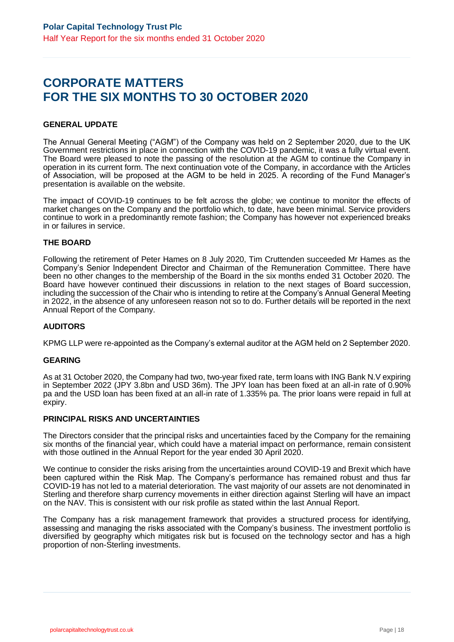## **CORPORATE MATTERS FOR THE SIX MONTHS TO 30 OCTOBER 2020**

### **GENERAL UPDATE**

The Annual General Meeting ("AGM") of the Company was held on 2 September 2020, due to the UK Government restrictions in place in connection with the COVID-19 pandemic, it was a fully virtual event. The Board were pleased to note the passing of the resolution at the AGM to continue the Company in operation in its current form. The next continuation vote of the Company, in accordance with the Articles of Association, will be proposed at the AGM to be held in 2025. A recording of the Fund Manager's presentation is available on the website.

The impact of COVID-19 continues to be felt across the globe; we continue to monitor the effects of market changes on the Company and the portfolio which, to date, have been minimal. Service providers continue to work in a predominantly remote fashion; the Company has however not experienced breaks in or failures in service.

### **THE BOARD**

Following the retirement of Peter Hames on 8 July 2020, Tim Cruttenden succeeded Mr Hames as the Company's Senior Independent Director and Chairman of the Remuneration Committee. There have been no other changes to the membership of the Board in the six months ended 31 October 2020. The Board have however continued their discussions in relation to the next stages of Board succession, including the succession of the Chair who is intending to retire at the Company's Annual General Meeting in 2022, in the absence of any unforeseen reason not so to do. Further details will be reported in the next Annual Report of the Company.

#### **AUDITORS**

KPMG LLP were re-appointed as the Company's external auditor at the AGM held on 2 September 2020.

#### **GEARING**

As at 31 October 2020, the Company had two, two-year fixed rate, term loans with ING Bank N.V expiring in September 2022 (JPY 3.8bn and USD 36m). The JPY loan has been fixed at an all-in rate of 0.90% pa and the USD loan has been fixed at an all-in rate of 1.335% pa. The prior loans were repaid in full at expiry.

#### **PRINCIPAL RISKS AND UNCERTAINTIES**

The Directors consider that the principal risks and uncertainties faced by the Company for the remaining six months of the financial year, which could have a material impact on performance, remain consistent with those outlined in the Annual Report for the year ended 30 April 2020.

We continue to consider the risks arising from the uncertainties around COVID-19 and Brexit which have been captured within the Risk Map. The Company's performance has remained robust and thus far COVID-19 has not led to a material deterioration. The vast majority of our assets are not denominated in Sterling and therefore sharp currency movements in either direction against Sterling will have an impact on the NAV. This is consistent with our risk profile as stated within the last Annual Report.

The Company has a risk management framework that provides a structured process for identifying, assessing and managing the risks associated with the Company's business. The investment portfolio is diversified by geography which mitigates risk but is focused on the technology sector and has a high proportion of non-Sterling investments.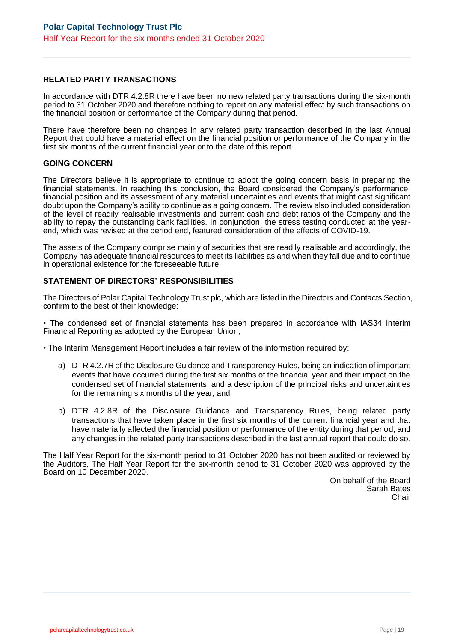## **RELATED PARTY TRANSACTIONS**

In accordance with DTR 4.2.8R there have been no new related party transactions during the six-month period to 31 October 2020 and therefore nothing to report on any material effect by such transactions on the financial position or performance of the Company during that period.

There have therefore been no changes in any related party transaction described in the last Annual Report that could have a material effect on the financial position or performance of the Company in the first six months of the current financial year or to the date of this report.

#### **GOING CONCERN**

The Directors believe it is appropriate to continue to adopt the going concern basis in preparing the financial statements. In reaching this conclusion, the Board considered the Company's performance, financial position and its assessment of any material uncertainties and events that might cast significant doubt upon the Company's ability to continue as a going concern. The review also included consideration of the level of readily realisable investments and current cash and debt ratios of the Company and the ability to repay the outstanding bank facilities. In conjunction, the stress testing conducted at the yearend, which was revised at the period end, featured consideration of the effects of COVID-19.

The assets of the Company comprise mainly of securities that are readily realisable and accordingly, the Company has adequate financial resources to meet its liabilities as and when they fall due and to continue in operational existence for the foreseeable future.

### **STATEMENT OF DIRECTORS' RESPONSIBILITIES**

The Directors of Polar Capital Technology Trust plc, which are listed in the Directors and Contacts Section, confirm to the best of their knowledge:

• The condensed set of financial statements has been prepared in accordance with IAS34 Interim Financial Reporting as adopted by the European Union;

• The Interim Management Report includes a fair review of the information required by:

- a) DTR 4.2.7R of the Disclosure Guidance and Transparency Rules, being an indication of important events that have occurred during the first six months of the financial year and their impact on the condensed set of financial statements; and a description of the principal risks and uncertainties for the remaining six months of the year; and
- b) DTR 4.2.8R of the Disclosure Guidance and Transparency Rules, being related party transactions that have taken place in the first six months of the current financial year and that have materially affected the financial position or performance of the entity during that period; and any changes in the related party transactions described in the last annual report that could do so.

The Half Year Report for the six-month period to 31 October 2020 has not been audited or reviewed by the Auditors. The Half Year Report for the six-month period to 31 October 2020 was approved by the Board on 10 December 2020.

> On behalf of the Board Sarah Bates **Chair**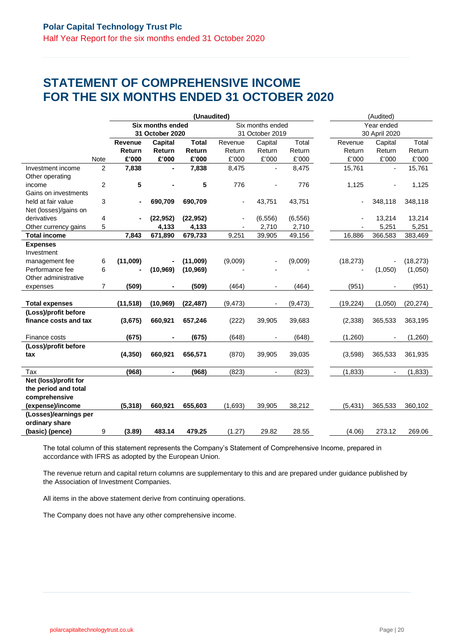## **STATEMENT OF COMPREHENSIVE INCOME FOR THE SIX MONTHS ENDED 31 OCTOBER 2020**

|                       |                |                |                  | (Unaudited)  |          |                          |            | (Audited) |               |           |  |
|-----------------------|----------------|----------------|------------------|--------------|----------|--------------------------|------------|-----------|---------------|-----------|--|
|                       |                |                | Six months ended |              |          | Six months ended         | Year ended |           |               |           |  |
|                       |                |                | 31 October 2020  |              |          | 31 October 2019          |            |           | 30 April 2020 |           |  |
|                       |                | Revenue        | Capital          | <b>Total</b> | Revenue  | Capital                  | Total      | Revenue   | Capital       | Total     |  |
|                       |                | Return         | Return           | Return       | Return   | Return                   | Return     | Return    | Return        | Return    |  |
|                       | Note           | £'000          | £'000            | £'000        | £'000    | £'000                    | £'000      | £'000     | £'000         | £'000     |  |
| Investment income     | $\overline{2}$ | 7,838          |                  | 7,838        | 8,475    |                          | 8,475      | 15,761    |               | 15,761    |  |
| Other operating       |                |                |                  |              |          |                          |            |           |               |           |  |
| income                | 2              | 5              |                  | 5            | 776      |                          | 776        | 1,125     |               | 1,125     |  |
| Gains on investments  |                |                |                  |              |          |                          |            |           |               |           |  |
| held at fair value    | 3              | $\blacksquare$ | 690,709          | 690,709      |          | 43,751                   | 43,751     |           | 348,118       | 348,118   |  |
| Net (losses)/gains on |                |                |                  |              |          |                          |            |           |               |           |  |
| derivatives           | 4              | ä,             | (22, 952)        | (22, 952)    |          | (6, 556)                 | (6, 556)   |           | 13,214        | 13,214    |  |
| Other currency gains  | 5              |                | 4,133            | 4,133        |          | 2,710                    | 2,710      |           | 5,251         | 5,251     |  |
| <b>Total income</b>   |                | 7,843          | 671,890          | 679,733      | 9,251    | 39,905                   | 49,156     | 16,886    | 366,583       | 383,469   |  |
| <b>Expenses</b>       |                |                |                  |              |          |                          |            |           |               |           |  |
| Investment            |                |                |                  |              |          |                          |            |           |               |           |  |
| management fee        | 6              | (11,009)       |                  | (11,009)     | (9,009)  |                          | (9,009)    | (18, 273) |               | (18, 273) |  |
| Performance fee       | 6              |                | (10, 969)        | (10, 969)    |          |                          |            |           | (1,050)       | (1,050)   |  |
| Other administrative  |                |                |                  |              |          |                          |            |           |               |           |  |
| expenses              | 7              | (509)          |                  | (509)        | (464)    | ٠                        | (464)      | (951)     |               | (951)     |  |
|                       |                |                |                  |              |          |                          |            |           |               |           |  |
| <b>Total expenses</b> |                | (11, 518)      | (10, 969)        | (22, 487)    | (9, 473) | $\overline{\phantom{a}}$ | (9, 473)   | (19, 224) | (1,050)       | (20, 274) |  |
| (Loss)/profit before  |                |                |                  |              |          |                          |            |           |               |           |  |
| finance costs and tax |                | (3,675)        | 660,921          | 657,246      | (222)    | 39,905                   | 39,683     | (2,338)   | 365,533       | 363,195   |  |
| Finance costs         |                | (675)          |                  | (675)        | (648)    |                          | (648)      | (1,260)   |               | (1,260)   |  |
| (Loss)/profit before  |                |                |                  |              |          |                          |            |           |               |           |  |
| tax                   |                | (4, 350)       | 660,921          | 656,571      | (870)    | 39,905                   | 39,035     | (3,598)   | 365,533       | 361,935   |  |
|                       |                |                |                  |              |          |                          |            |           |               |           |  |
| Tax                   |                | (968)          | $\blacksquare$   | (968)        | (823)    | $\overline{\phantom{0}}$ | (823)      | (1,833)   |               | (1, 833)  |  |
| Net (loss)/profit for |                |                |                  |              |          |                          |            |           |               |           |  |
| the period and total  |                |                |                  |              |          |                          |            |           |               |           |  |
| comprehensive         |                |                |                  |              |          |                          |            |           |               |           |  |
| (expense)/income      |                | (5, 318)       | 660,921          | 655,603      | (1,693)  | 39,905                   | 38,212     | (5, 431)  | 365,533       | 360,102   |  |
| (Losses)/earnings per |                |                |                  |              |          |                          |            |           |               |           |  |
| ordinary share        |                |                |                  |              |          |                          |            |           |               |           |  |
| (basic) (pence)       | 9              | (3.89)         | 483.14           | 479.25       | (1.27)   | 29.82                    | 28.55      | (4.06)    | 273.12        | 269.06    |  |

The total column of this statement represents the Company's Statement of Comprehensive Income, prepared in accordance with IFRS as adopted by the European Union.

The revenue return and capital return columns are supplementary to this and are prepared under guidance published by the Association of Investment Companies.

All items in the above statement derive from continuing operations.

The Company does not have any other comprehensive income.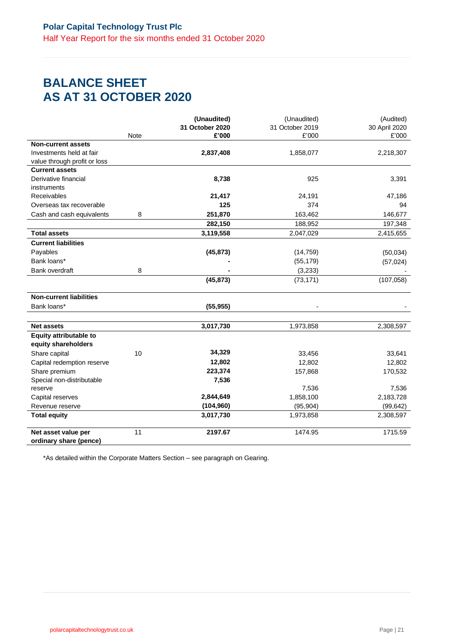## **BALANCE SHEET AS AT 31 OCTOBER 2020**

|                                               |             | (Unaudited)              | (Unaudited)              | (Audited)              |
|-----------------------------------------------|-------------|--------------------------|--------------------------|------------------------|
|                                               | <b>Note</b> | 31 October 2020<br>£'000 | 31 October 2019<br>£'000 | 30 April 2020<br>£'000 |
| <b>Non-current assets</b>                     |             |                          |                          |                        |
| Investments held at fair                      |             | 2,837,408                | 1,858,077                | 2,218,307              |
| value through profit or loss                  |             |                          |                          |                        |
| <b>Current assets</b>                         |             |                          |                          |                        |
| Derivative financial                          |             | 8,738                    | 925                      | 3,391                  |
| instruments                                   |             |                          |                          |                        |
| Receivables                                   |             | 21,417                   | 24,191                   | 47,186                 |
| Overseas tax recoverable                      |             | 125                      | 374                      | 94                     |
| Cash and cash equivalents                     | 8           | 251,870                  | 163,462                  | 146,677                |
|                                               |             | 282,150                  | 188,952                  | 197,348                |
| <b>Total assets</b>                           |             | 3,119,558                | 2,047,029                | 2,415,655              |
| <b>Current liabilities</b>                    |             |                          |                          |                        |
| Payables                                      |             | (45, 873)                | (14, 759)                | (50,034)               |
| Bank loans*                                   |             |                          | (55, 179)                | (57, 024)              |
| <b>Bank overdraft</b>                         | 8           |                          | (3,233)                  |                        |
|                                               |             | (45, 873)                | (73, 171)                | (107, 058)             |
| <b>Non-current liabilities</b>                |             |                          |                          |                        |
| Bank loans*                                   |             | (55, 955)                |                          |                        |
|                                               |             |                          |                          |                        |
| <b>Net assets</b>                             |             | 3,017,730                | 1,973,858                | 2,308,597              |
| <b>Equity attributable to</b>                 |             |                          |                          |                        |
| equity shareholders                           |             | 34,329                   |                          |                        |
| Share capital                                 | 10          |                          | 33,456                   | 33,641                 |
| Capital redemption reserve                    |             | 12,802                   | 12,802                   | 12,802                 |
| Share premium                                 |             | 223,374                  | 157,868                  | 170,532                |
| Special non-distributable<br>reserve          |             | 7,536                    | 7,536                    | 7,536                  |
| Capital reserves                              |             | 2,844,649                | 1,858,100                | 2,183,728              |
| Revenue reserve                               |             | (104, 960)               |                          |                        |
| <b>Total equity</b>                           |             | 3,017,730                | (95, 904)<br>1,973,858   | (99, 642)<br>2,308,597 |
|                                               |             |                          |                          |                        |
| Net asset value per<br>ordinary share (pence) | 11          | 2197.67                  | 1474.95                  | 1715.59                |

\*As detailed within the Corporate Matters Section – see paragraph on Gearing.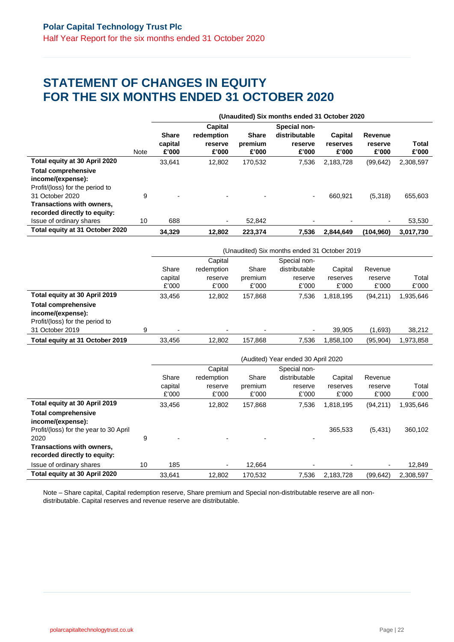## **STATEMENT OF CHANGES IN EQUITY FOR THE SIX MONTHS ENDED 31 OCTOBER 2020**

|                                                                                    |             |                                  | (Unaudited) Six months ended 31 October 2020 |                                  |                                                   |                              |                             |                |  |  |
|------------------------------------------------------------------------------------|-------------|----------------------------------|----------------------------------------------|----------------------------------|---------------------------------------------------|------------------------------|-----------------------------|----------------|--|--|
|                                                                                    | <b>Note</b> | <b>Share</b><br>capital<br>£'000 | Capital<br>redemption<br>reserve<br>£'000    | <b>Share</b><br>premium<br>£'000 | Special non-<br>distributable<br>reserve<br>£'000 | Capital<br>reserves<br>£'000 | Revenue<br>reserve<br>£'000 | Total<br>£'000 |  |  |
| Total equity at 30 April 2020                                                      |             | 33.641                           | 12.802                                       | 170,532                          | 7,536                                             | 2,183,728                    | (99, 642)                   | 2,308,597      |  |  |
| <b>Total comprehensive</b><br>income/(expense):<br>Profit/(loss) for the period to |             |                                  |                                              |                                  |                                                   |                              |                             |                |  |  |
| 31 October 2020<br>Transactions with owners,<br>recorded directly to equity:       | 9           | $\overline{\phantom{0}}$         |                                              |                                  |                                                   | 660.921                      | (5,318)                     | 655,603        |  |  |
| Issue of ordinary shares                                                           | 10          | 688                              | ۰                                            | 52.842                           |                                                   |                              | $\overline{\phantom{0}}$    | 53,530         |  |  |
| Total equity at 31 October 2020                                                    |             | 34.329                           | 12.802                                       | 223.374                          | 7.536                                             | 2.844.649                    | (104.960)                   | 3,017,730      |  |  |

|                                                                                                                                        |   | (Unaudited) Six months ended 31 October 2019 |                                           |                           |                                                   |                              |                             |                     |  |
|----------------------------------------------------------------------------------------------------------------------------------------|---|----------------------------------------------|-------------------------------------------|---------------------------|---------------------------------------------------|------------------------------|-----------------------------|---------------------|--|
|                                                                                                                                        |   | Share<br>capital<br>£'000                    | Capital<br>redemption<br>reserve<br>£'000 | Share<br>premium<br>£'000 | Special non-<br>distributable<br>reserve<br>£'000 | Capital<br>reserves<br>£'000 | Revenue<br>reserve<br>£'000 | Total<br>£'000      |  |
| Total equity at 30 April 2019<br><b>Total comprehensive</b><br>income/(expense):<br>Profit/(loss) for the period to<br>31 October 2019 | 9 | 33.456<br>$\overline{\phantom{a}}$           | 12.802<br>$\overline{\phantom{0}}$        | 157,868                   | 7.536                                             | 1,818,195<br>39,905          | (94,211)<br>(1,693)         | 1,935,646<br>38,212 |  |
| Total equity at 31 October 2019                                                                                                        |   | 33,456                                       | 12,802                                    | 157,868                   | 7.536                                             | 1,858,100                    | (95, 904)                   | 1,973,858           |  |

|                                                           |    | (Audited) Year ended 30 April 2020 |            |         |               |           |           |           |  |  |
|-----------------------------------------------------------|----|------------------------------------|------------|---------|---------------|-----------|-----------|-----------|--|--|
|                                                           |    |                                    | Capital    |         | Special non-  |           |           |           |  |  |
|                                                           |    | Share                              | redemption | Share   | distributable | Capital   | Revenue   |           |  |  |
|                                                           |    | capital                            | reserve    | premium | reserve       | reserves  | reserve   | Total     |  |  |
|                                                           |    | £'000                              | £'000      | £'000   | £'000         | £'000     | £'000     | £'000     |  |  |
| Total equity at 30 April 2019                             |    | 33,456                             | 12,802     | 157,868 | 7,536         | 1,818,195 | (94, 211) | 1,935,646 |  |  |
| <b>Total comprehensive</b><br>income/(expense):           |    |                                    |            |         |               |           |           |           |  |  |
| Profit/(loss) for the year to 30 April                    |    |                                    |            |         |               | 365.533   | (5,431)   | 360,102   |  |  |
| 2020                                                      | 9  |                                    |            |         |               |           |           |           |  |  |
| Transactions with owners,<br>recorded directly to equity: |    |                                    |            |         |               |           |           |           |  |  |
| Issue of ordinary shares                                  | 10 | 185                                |            | 12.664  |               |           |           | 12,849    |  |  |
| Total equity at 30 April 2020                             |    | 33.641                             | 12.802     | 170.532 | 7,536         | 2,183,728 | (99, 642) | 2,308,597 |  |  |

Note – Share capital, Capital redemption reserve, Share premium and Special non-distributable reserve are all nondistributable. Capital reserves and revenue reserve are distributable.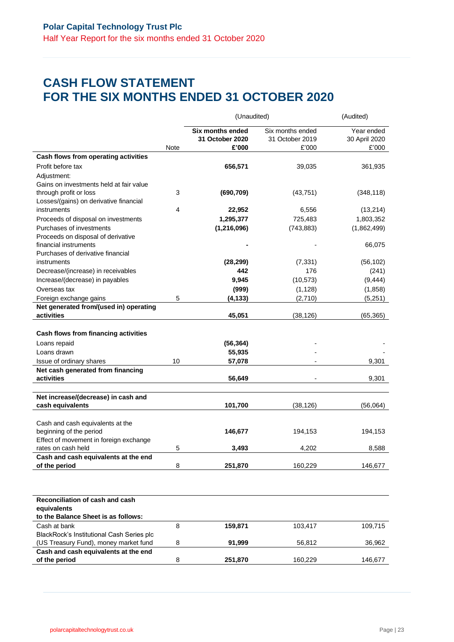## **CASH FLOW STATEMENT FOR THE SIX MONTHS ENDED 31 OCTOBER 2020**

|                                           |      | (Unaudited)                                  |                                              | (Audited)                            |
|-------------------------------------------|------|----------------------------------------------|----------------------------------------------|--------------------------------------|
|                                           | Note | Six months ended<br>31 October 2020<br>£'000 | Six months ended<br>31 October 2019<br>£'000 | Year ended<br>30 April 2020<br>£'000 |
| Cash flows from operating activities      |      |                                              |                                              |                                      |
| Profit before tax                         |      | 656,571                                      | 39,035                                       | 361,935                              |
| Adjustment:                               |      |                                              |                                              |                                      |
| Gains on investments held at fair value   |      |                                              |                                              |                                      |
| through profit or loss                    | 3    | (690, 709)                                   | (43, 751)                                    | (348, 118)                           |
| Losses/(gains) on derivative financial    |      |                                              |                                              |                                      |
| instruments                               | 4    | 22,952                                       | 6,556                                        | (13,214)                             |
| Proceeds of disposal on investments       |      | 1,295,377                                    | 725,483                                      | 1,803,352                            |
| Purchases of investments                  |      | (1, 216, 096)                                | (743, 883)                                   | (1,862,499)                          |
| Proceeds on disposal of derivative        |      |                                              |                                              |                                      |
| financial instruments                     |      |                                              |                                              | 66,075                               |
| Purchases of derivative financial         |      |                                              |                                              |                                      |
| instruments                               |      | (28, 299)                                    | (7, 331)                                     | (56, 102)                            |
| Decrease/(increase) in receivables        |      | 442                                          | 176                                          | (241)                                |
| Increase/(decrease) in payables           |      | 9,945                                        | (10, 573)                                    | (9, 444)                             |
| Overseas tax                              |      | (999)                                        | (1, 128)                                     | (1,858)                              |
| Foreign exchange gains                    | 5    | (4, 133)                                     | (2,710)                                      | (5, 251)                             |
| Net generated from/(used in) operating    |      |                                              |                                              |                                      |
| activities                                |      | 45,051                                       | (38, 126)                                    | (65, 365)                            |
|                                           |      |                                              |                                              |                                      |
| Cash flows from financing activities      |      |                                              |                                              |                                      |
| Loans repaid                              |      | (56, 364)                                    |                                              |                                      |
| Loans drawn                               |      | 55,935                                       |                                              |                                      |
| Issue of ordinary shares                  | 10   | 57,078                                       |                                              | 9,301                                |
| Net cash generated from financing         |      |                                              |                                              |                                      |
| activities                                |      | 56,649                                       |                                              | 9,301                                |
|                                           |      |                                              |                                              |                                      |
| Net increase/(decrease) in cash and       |      |                                              |                                              |                                      |
| cash equivalents                          |      | 101,700                                      | (38, 126)                                    | (56,064)                             |
|                                           |      |                                              |                                              |                                      |
| Cash and cash equivalents at the          |      |                                              |                                              |                                      |
| beginning of the period                   |      | 146,677                                      | 194,153                                      | 194,153                              |
| Effect of movement in foreign exchange    |      |                                              |                                              |                                      |
| rates on cash held                        | 5    | 3,493                                        | 4,202                                        | 8,588                                |
| Cash and cash equivalents at the end      |      |                                              |                                              |                                      |
| of the period                             | 8    | 251,870                                      | 160,229                                      | 146,677                              |
|                                           |      |                                              |                                              |                                      |
|                                           |      |                                              |                                              |                                      |
| Reconciliation of cash and cash           |      |                                              |                                              |                                      |
| equivalents                               |      |                                              |                                              |                                      |
| to the Balance Sheet is as follows:       |      |                                              |                                              |                                      |
| Cash at bank                              | 8    | 159,871                                      | 103,417                                      | 109,715                              |
| BlackRock's Institutional Cash Series plc |      |                                              |                                              |                                      |
| (US Treasury Fund), money market fund     | 8    | 91,999                                       | 56,812                                       | 36,962                               |
| Cash and cash equivalents at the end      |      |                                              |                                              |                                      |
| of the period                             | 8    | 251,870                                      | 160,229                                      | 146,677                              |
|                                           |      |                                              |                                              |                                      |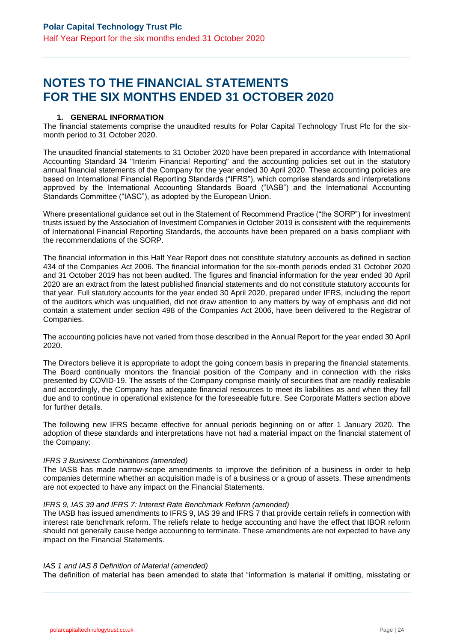## **NOTES TO THE FINANCIAL STATEMENTS FOR THE SIX MONTHS ENDED 31 OCTOBER 2020**

### **1. GENERAL INFORMATION**

The financial statements comprise the unaudited results for Polar Capital Technology Trust Plc for the sixmonth period to 31 October 2020.

The unaudited financial statements to 31 October 2020 have been prepared in accordance with International Accounting Standard 34 "Interim Financial Reporting" and the accounting policies set out in the statutory annual financial statements of the Company for the year ended 30 April 2020. These accounting policies are based on International Financial Reporting Standards ("IFRS"), which comprise standards and interpretations approved by the International Accounting Standards Board ("IASB") and the International Accounting Standards Committee ("IASC"), as adopted by the European Union.

Where presentational guidance set out in the Statement of Recommend Practice ("the SORP") for investment trusts issued by the Association of Investment Companies in October 2019 is consistent with the requirements of International Financial Reporting Standards, the accounts have been prepared on a basis compliant with the recommendations of the SORP.

The financial information in this Half Year Report does not constitute statutory accounts as defined in section 434 of the Companies Act 2006. The financial information for the six-month periods ended 31 October 2020 and 31 October 2019 has not been audited. The figures and financial information for the year ended 30 April 2020 are an extract from the latest published financial statements and do not constitute statutory accounts for that year. Full statutory accounts for the year ended 30 April 2020, prepared under IFRS, including the report of the auditors which was unqualified, did not draw attention to any matters by way of emphasis and did not contain a statement under section 498 of the Companies Act 2006, have been delivered to the Registrar of Companies.

The accounting policies have not varied from those described in the Annual Report for the year ended 30 April 2020.

The Directors believe it is appropriate to adopt the going concern basis in preparing the financial statements. The Board continually monitors the financial position of the Company and in connection with the risks presented by COVID-19. The assets of the Company comprise mainly of securities that are readily realisable and accordingly, the Company has adequate financial resources to meet its liabilities as and when they fall due and to continue in operational existence for the foreseeable future. See Corporate Matters section above for further details.

The following new IFRS became effective for annual periods beginning on or after 1 January 2020. The adoption of these standards and interpretations have not had a material impact on the financial statement of the Company:

#### *IFRS 3 Business Combinations (amended)*

The IASB has made narrow-scope amendments to improve the definition of a business in order to help companies determine whether an acquisition made is of a business or a group of assets. These amendments are not expected to have any impact on the Financial Statements.

#### *IFRS 9, IAS 39 and IFRS 7: Interest Rate Benchmark Reform (amended)*

The IASB has issued amendments to IFRS 9, IAS 39 and IFRS 7 that provide certain reliefs in connection with interest rate benchmark reform. The reliefs relate to hedge accounting and have the effect that IBOR reform should not generally cause hedge accounting to terminate. These amendments are not expected to have any impact on the Financial Statements.

#### *IAS 1 and IAS 8 Definition of Material (amended)*

The definition of material has been amended to state that "information is material if omitting, misstating or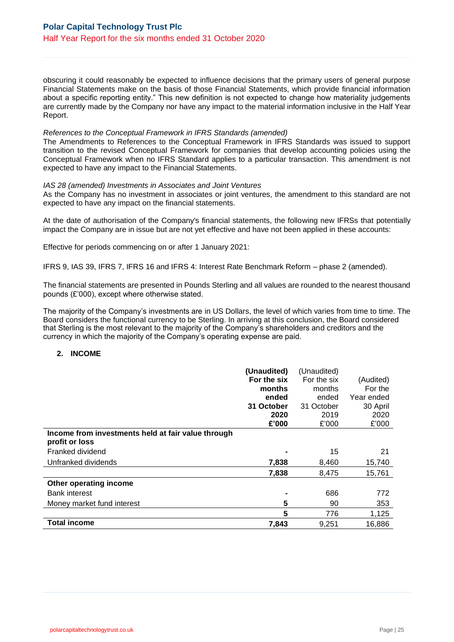obscuring it could reasonably be expected to influence decisions that the primary users of general purpose Financial Statements make on the basis of those Financial Statements, which provide financial information about a specific reporting entity." This new definition is not expected to change how materiality judgements are currently made by the Company nor have any impact to the material information inclusive in the Half Year Report.

#### *References to the Conceptual Framework in IFRS Standards (amended)*

The Amendments to References to the Conceptual Framework in IFRS Standards was issued to support transition to the revised Conceptual Framework for companies that develop accounting policies using the Conceptual Framework when no IFRS Standard applies to a particular transaction. This amendment is not expected to have any impact to the Financial Statements.

#### *IAS 28 (amended) Investments in Associates and Joint Ventures*

As the Company has no investment in associates or joint ventures, the amendment to this standard are not expected to have any impact on the financial statements.

At the date of authorisation of the Company's financial statements, the following new IFRSs that potentially impact the Company are in issue but are not yet effective and have not been applied in these accounts:

Effective for periods commencing on or after 1 January 2021:

IFRS 9, IAS 39, IFRS 7, IFRS 16 and IFRS 4: Interest Rate Benchmark Reform – phase 2 (amended).

The financial statements are presented in Pounds Sterling and all values are rounded to the nearest thousand pounds (£'000), except where otherwise stated.

The majority of the Company's investments are in US Dollars, the level of which varies from time to time. The Board considers the functional currency to be Sterling. In arriving at this conclusion, the Board considered that Sterling is the most relevant to the majority of the Company's shareholders and creditors and the currency in which the majority of the Company's operating expense are paid.

#### **2. INCOME**

|                                                    | (Unaudited) | (Unaudited) |            |
|----------------------------------------------------|-------------|-------------|------------|
|                                                    | For the six | For the six | (Audited)  |
|                                                    | months      | months      | For the    |
|                                                    | ended       | ended       | Year ended |
|                                                    | 31 October  | 31 October  | 30 April   |
|                                                    | 2020        | 2019        | 2020       |
|                                                    | £'000       | £'000       | £'000      |
| Income from investments held at fair value through |             |             |            |
| profit or loss                                     |             |             |            |
| Franked dividend                                   |             | 15          | 21         |
| Unfranked dividends                                | 7,838       | 8,460       | 15,740     |
|                                                    | 7,838       | 8,475       | 15,761     |
| Other operating income                             |             |             |            |
| <b>Bank interest</b>                               |             | 686         | 772        |
| Money market fund interest                         | 5           | 90          | 353        |
|                                                    | 5           | 776         | 1,125      |
| <b>Total income</b>                                | 7,843       | 9,251       | 16,886     |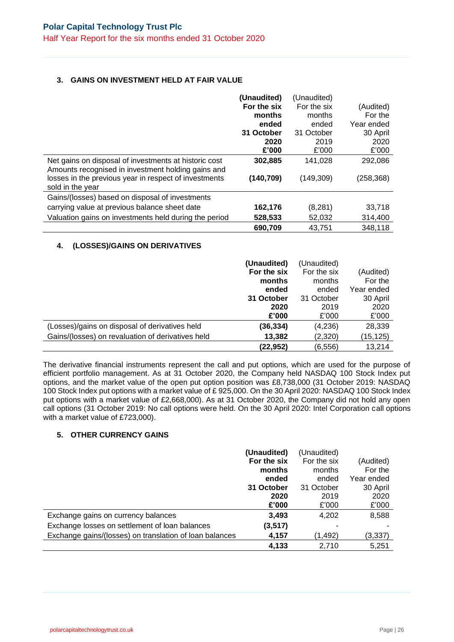## **3. GAINS ON INVESTMENT HELD AT FAIR VALUE**

|                                                       | (Unaudited) | (Unaudited) |            |
|-------------------------------------------------------|-------------|-------------|------------|
|                                                       | For the six | For the six | (Audited)  |
|                                                       | months      | months      | For the    |
|                                                       | ended       | ended       | Year ended |
|                                                       | 31 October  | 31 October  | 30 April   |
|                                                       | 2020        | 2019        | 2020       |
|                                                       | £'000       | £'000       | £'000      |
| Net gains on disposal of investments at historic cost | 302,885     | 141,028     | 292,086    |
| Amounts recognised in investment holding gains and    |             |             |            |
| losses in the previous year in respect of investments | (140, 709)  | (149, 309)  | (258, 368) |
| sold in the year                                      |             |             |            |
| Gains/(losses) based on disposal of investments       |             |             |            |
| carrying value at previous balance sheet date         | 162,176     | (8, 281)    | 33,718     |
| Valuation gains on investments held during the period | 528,533     | 52,032      | 314,400    |
|                                                       | 690,709     | 43,751      | 348,118    |

## **4. (LOSSES)/GAINS ON DERIVATIVES**

|                                                   | (Unaudited)<br>For the six | (Unaudited)<br>For the six | (Audited)  |
|---------------------------------------------------|----------------------------|----------------------------|------------|
|                                                   | months                     | months                     | For the    |
|                                                   | ended                      | ended                      | Year ended |
|                                                   | 31 October                 | 31 October                 | 30 April   |
|                                                   | 2020                       | 2019                       | 2020       |
|                                                   | £'000                      | £'000                      | £'000      |
| (Losses)/gains on disposal of derivatives held    | (36, 334)                  | (4,236)                    | 28,339     |
| Gains/(losses) on revaluation of derivatives held | 13,382                     | (2,320)                    | (15, 125)  |
|                                                   | (22, 952)                  | (6, 556)                   | 13,214     |

The derivative financial instruments represent the call and put options, which are used for the purpose of efficient portfolio management. As at 31 October 2020, the Company held NASDAQ 100 Stock Index put options, and the market value of the open put option position was £8,738,000 (31 October 2019: NASDAQ 100 Stock Index put options with a market value of £ 925,000. On the 30 April 2020: NASDAQ 100 Stock Index put options with a market value of £2,668,000). As at 31 October 2020, the Company did not hold any open call options (31 October 2019: No call options were held. On the 30 April 2020: Intel Corporation call options with a market value of £723,000).

## **5. OTHER CURRENCY GAINS**

|                                                         | (Unaudited) | (Unaudited) |            |
|---------------------------------------------------------|-------------|-------------|------------|
|                                                         | For the six | For the six | (Audited)  |
|                                                         | months      | months      | For the    |
|                                                         | ended       | ended       | Year ended |
|                                                         | 31 October  | 31 October  | 30 April   |
|                                                         | 2020        | 2019        | 2020       |
|                                                         | £'000       | £'000       | £'000      |
| Exchange gains on currency balances                     | 3,493       | 4,202       | 8,588      |
| Exchange losses on settlement of loan balances          | (3, 517)    |             |            |
| Exchange gains/(losses) on translation of loan balances | 4,157       | (1,492)     | (3,337)    |
|                                                         | 4,133       | 2.710       | 5,251      |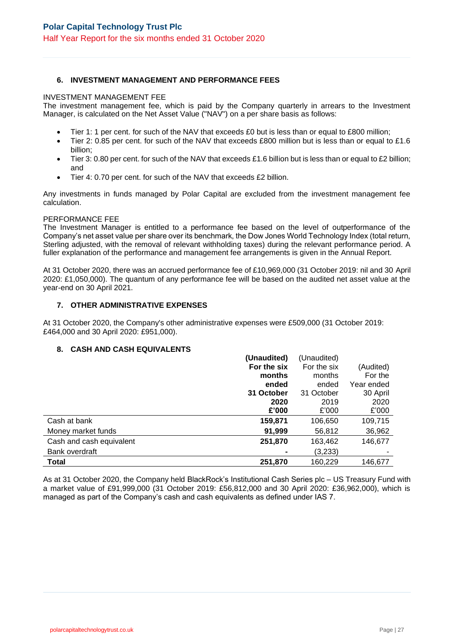## **6. INVESTMENT MANAGEMENT AND PERFORMANCE FEES**

#### INVESTMENT MANAGEMENT FEE

The investment management fee, which is paid by the Company quarterly in arrears to the Investment Manager, is calculated on the Net Asset Value ("NAV") on a per share basis as follows:

- Tier 1: 1 per cent. for such of the NAV that exceeds £0 but is less than or equal to £800 million;
- Tier 2: 0.85 per cent, for such of the NAV that exceeds £800 million but is less than or equal to £1.6 billion;
- Tier 3: 0.80 per cent. for such of the NAV that exceeds £1.6 billion but is less than or equal to £2 billion; and
- Tier 4: 0.70 per cent. for such of the NAV that exceeds £2 billion.

Any investments in funds managed by Polar Capital are excluded from the investment management fee calculation.

#### PERFORMANCE FEE

The Investment Manager is entitled to a performance fee based on the level of outperformance of the Company's net asset value per share over its benchmark, the Dow Jones World Technology Index (total return, Sterling adjusted, with the removal of relevant withholding taxes) during the relevant performance period. A fuller explanation of the performance and management fee arrangements is given in the Annual Report.

At 31 October 2020, there was an accrued performance fee of £10,969,000 (31 October 2019: nil and 30 April 2020: £1,050,000). The quantum of any performance fee will be based on the audited net asset value at the year-end on 30 April 2021.

## **7. OTHER ADMINISTRATIVE EXPENSES**

At 31 October 2020, the Company's other administrative expenses were £509,000 (31 October 2019: £464,000 and 30 April 2020: £951,000).

### **8. CASH AND CASH EQUIVALENTS**

|                          | (Unaudited) | (Unaudited) |            |
|--------------------------|-------------|-------------|------------|
|                          | For the six | For the six | (Audited)  |
|                          | months      | months      | For the    |
|                          | ended       | ended       | Year ended |
|                          | 31 October  | 31 October  | 30 April   |
|                          | 2020        | 2019        | 2020       |
|                          | £'000       | £'000       | £'000      |
| Cash at bank             | 159,871     | 106,650     | 109,715    |
| Money market funds       | 91,999      | 56,812      | 36,962     |
| Cash and cash equivalent | 251,870     | 163,462     | 146,677    |
| Bank overdraft           |             | (3,233)     |            |
| <b>Total</b>             | 251,870     | 160,229     | 146,677    |

As at 31 October 2020, the Company held BlackRock's Institutional Cash Series plc – US Treasury Fund with a market value of £91,999,000 (31 October 2019: £56,812,000 and 30 April 2020: £36,962,000), which is managed as part of the Company's cash and cash equivalents as defined under IAS 7.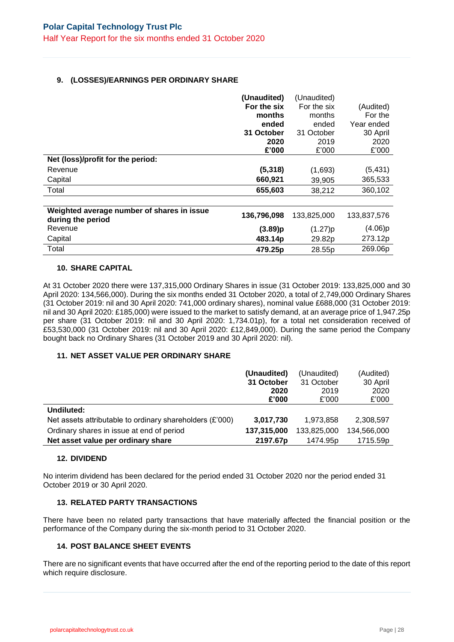## **9. (LOSSES)/EARNINGS PER ORDINARY SHARE**

|                                                                 | (Unaudited) | (Unaudited) |             |
|-----------------------------------------------------------------|-------------|-------------|-------------|
|                                                                 | For the six | For the six | (Audited)   |
|                                                                 | months      | months      | For the     |
|                                                                 | ended       | ended       | Year ended  |
|                                                                 | 31 October  | 31 October  | 30 April    |
|                                                                 | 2020        | 2019        | 2020        |
|                                                                 | £'000       | £'000       | £'000       |
| Net (loss)/profit for the period:                               |             |             |             |
| Revenue                                                         | (5, 318)    | (1,693)     | (5, 431)    |
| Capital                                                         | 660,921     | 39,905      | 365,533     |
| Total                                                           | 655,603     | 38,212      | 360,102     |
|                                                                 |             |             |             |
| Weighted average number of shares in issue<br>during the period | 136,796,098 | 133,825,000 | 133,837,576 |
| Revenue                                                         | (3.89)p     | (1.27)p     | (4.06)p     |
| Capital                                                         | 483.14p     | 29.82p      | 273.12p     |
| Total                                                           | 479.25p     | 28.55p      | 269.06p     |

#### **10. SHARE CAPITAL**

At 31 October 2020 there were 137,315,000 Ordinary Shares in issue (31 October 2019: 133,825,000 and 30 April 2020: 134,566,000). During the six months ended 31 October 2020, a total of 2,749,000 Ordinary Shares (31 October 2019: nil and 30 April 2020: 741,000 ordinary shares), nominal value £688,000 (31 October 2019: nil and 30 April 2020: £185,000) were issued to the market to satisfy demand, at an average price of 1,947.25p per share (31 October 2019: nil and 30 April 2020: 1,734.01p), for a total net consideration received of £53,530,000 (31 October 2019: nil and 30 April 2020: £12,849,000). During the same period the Company bought back no Ordinary Shares (31 October 2019 and 30 April 2020: nil).

## **11. NET ASSET VALUE PER ORDINARY SHARE**

|                                                            | (Unaudited) | (Unaudited)          | (Audited)   |
|------------------------------------------------------------|-------------|----------------------|-------------|
|                                                            | 31 October  | 31 October           | 30 April    |
|                                                            | 2020        | 2019                 | 2020        |
|                                                            | £'000       | £'000                | £'000       |
| Undiluted:                                                 |             |                      |             |
| Net assets attributable to ordinary shareholders $(E'000)$ | 3,017,730   | 1.973.858            | 2,308,597   |
| Ordinary shares in issue at end of period                  | 137,315,000 | 133,825,000          | 134,566,000 |
| Net asset value per ordinary share                         | 2197.67p    | 1474.95 <sub>p</sub> | 1715.59p    |

## **12. DIVIDEND**

No interim dividend has been declared for the period ended 31 October 2020 nor the period ended 31 October 2019 or 30 April 2020.

## **13. RELATED PARTY TRANSACTIONS**

There have been no related party transactions that have materially affected the financial position or the performance of the Company during the six-month period to 31 October 2020.

## **14. POST BALANCE SHEET EVENTS**

There are no significant events that have occurred after the end of the reporting period to the date of this report which require disclosure.